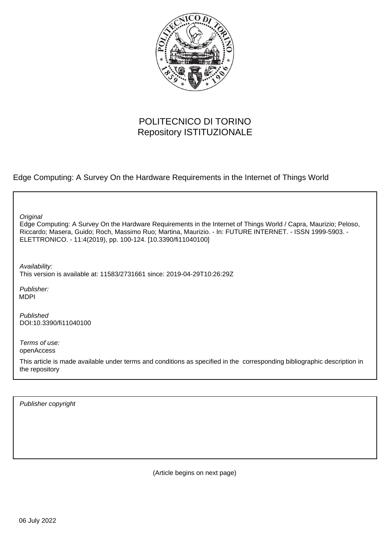

# POLITECNICO DI TORINO Repository ISTITUZIONALE

Edge Computing: A Survey On the Hardware Requirements in the Internet of Things World

**Original** 

Edge Computing: A Survey On the Hardware Requirements in the Internet of Things World / Capra, Maurizio; Peloso, Riccardo; Masera, Guido; Roch, Massimo Ruo; Martina, Maurizio. - In: FUTURE INTERNET. - ISSN 1999-5903. - ELETTRONICO. - 11:4(2019), pp. 100-124. [10.3390/fi11040100]

Availability: This version is available at: 11583/2731661 since: 2019-04-29T10:26:29Z

Publisher: MDPI

Published DOI:10.3390/fi11040100

Terms of use: openAccess

This article is made available under terms and conditions as specified in the corresponding bibliographic description in the repository

Publisher copyright

(Article begins on next page)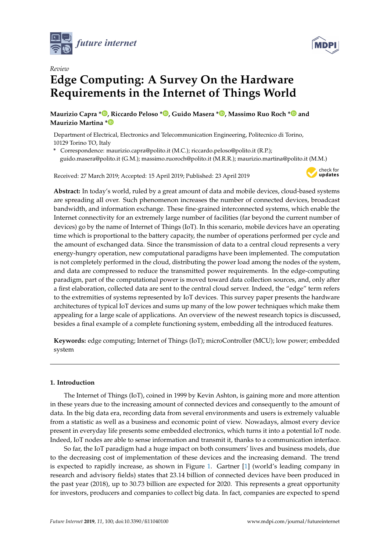



# *Review* **Edge Computing: A Survey On the Hardware Requirements in the Internet of Things World**

**Maurizio Capra [\\*](https://orcid.org/0000-0003-2500-2283) , Riccardo Peloso [\\*](https://orcid.org/0000-0002-5778-4518) , Guido Masera [\\*](https://orcid.org/0000-0003-2238-9443) , Massimo Ruo Roch [\\*](https://orcid.org/0000-0001-7313-8017) and Maurizio Martina [\\*](https://orcid.org/0000-0002-3069-0319)**

Department of Electrical, Electronics and Telecommunication Engineering, Politecnico di Torino, 10129 Torino TO, Italy

**\*** Correspondence: maurizio.capra@polito.it (M.C.); riccardo.peloso@polito.it (R.P.); guido.masera@polito.it (G.M.); massimo.ruoroch@polito.it (M.R.R.); maurizio.martina@polito.it (M.M.)

Received: 27 March 2019; Accepted: 15 April 2019; Published: 23 April 2019



**Abstract:** In today's world, ruled by a great amount of data and mobile devices, cloud-based systems are spreading all over. Such phenomenon increases the number of connected devices, broadcast bandwidth, and information exchange. These fine-grained interconnected systems, which enable the Internet connectivity for an extremely large number of facilities (far beyond the current number of devices) go by the name of Internet of Things (IoT). In this scenario, mobile devices have an operating time which is proportional to the battery capacity, the number of operations performed per cycle and the amount of exchanged data. Since the transmission of data to a central cloud represents a very energy-hungry operation, new computational paradigms have been implemented. The computation is not completely performed in the cloud, distributing the power load among the nodes of the system, and data are compressed to reduce the transmitted power requirements. In the edge-computing paradigm, part of the computational power is moved toward data collection sources, and, only after a first elaboration, collected data are sent to the central cloud server. Indeed, the "edge" term refers to the extremities of systems represented by IoT devices. This survey paper presents the hardware architectures of typical IoT devices and sums up many of the low power techniques which make them appealing for a large scale of applications. An overview of the newest research topics is discussed, besides a final example of a complete functioning system, embedding all the introduced features.

**Keywords:** edge computing; Internet of Things (IoT); microController (MCU); low power; embedded system

## **1. Introduction**

The Internet of Things (IoT), coined in 1999 by Kevin Ashton, is gaining more and more attention in these years due to the increasing amount of connected devices and consequently to the amount of data. In the big data era, recording data from several environments and users is extremely valuable from a statistic as well as a business and economic point of view. Nowadays, almost every device present in everyday life presents some embedded electronics, which turns it into a potential IoT node. Indeed, IoT nodes are able to sense information and transmit it, thanks to a communication interface.

So far, the IoT paradigm had a huge impact on both consumers' lives and business models, due to the decreasing cost of implementation of these devices and the increasing demand. The trend is expected to rapidly increase, as shown in Figure 1. Gartner [1] (world's leading company in research and advisory fields) states that 23.14 billion of connected devices have been produced in the past year (2018), up to 30.73 billion are expected for 2020. This represents a great opportunity for investors, producers and companies to collect big data. In fact, companies are expected to spend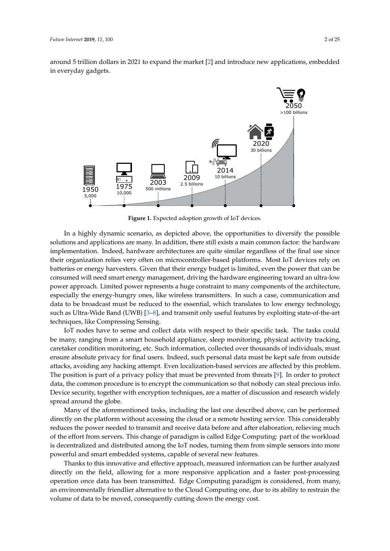around 5 trillion dollars in 2021 to expand the market [2] and introduce new applications, embedded in everyday gadgets.



**Figure 1.** Expected adoption growth of IoT devices.

In a highly dynamic scenario, as depicted above, the opportunities to diversify the possible solutions and applications are many. In addition, there still exists a main common factor: the hardware implementation. Indeed, hardware architectures are quite similar regardless of the final use since their organization relies very often on microcontroller-based platforms. Most IoT devices rely on batteries or energy harvesters. Given that their energy budget is limited, even the power that can be consumed will need smart energy management, driving the hardware engineering toward an ultra-low power approach. Limited power represents a huge constraint to many components of the architecture, especially the energy-hungry ones, like wireless transmitters. In such a case, communication and data to be broadcast must be reduced to the essential, which translates to low energy technology, such as Ultra-Wide Band (UWB) [3–8], and transmit only useful features by exploiting state-of-the-art techniques, like Compressing Sensing.

IoT nodes have to sense and collect data with respect to their specific task. The tasks could be many, ranging from a smart household appliance, sleep monitoring, physical activity tracking, caretaker condition monitoring, etc. Such information, collected over thousands of individuals, must ensure absolute privacy for final users. Indeed, such personal data must be kept safe from outside attacks, avoiding any hacking attempt. Even localization-based services are affected by this problem. The position is part of a privacy policy that must be prevented from threats [9]. In order to protect data, the common procedure is to encrypt the communication so that nobody can steal precious info. Device security, together with encryption techniques, are a matter of discussion and research widely spread around the globe.

Many of the aforementioned tasks, including the last one described above, can be performed directly on the platform without accessing the cloud or a remote hosting service. This considerably reduces the power needed to transmit and receive data before and after elaboration, relieving much of the effort from servers. This change of paradigm is called Edge Computing: part of the workload is decentralized and distributed among the IoT nodes, turning them from simple sensors into more powerful and smart embedded systems, capable of several new features.

Thanks to this innovative and effective approach, measured information can be further analyzed directly on the field, allowing for a more responsive application and a faster post-processing operation once data has been transmitted. Edge Computing paradigm is considered, from many, an environmentally friendlier alternative to the Cloud Computing one, due to its ability to restrain the volume of data to be moved, consequently cutting down the energy cost.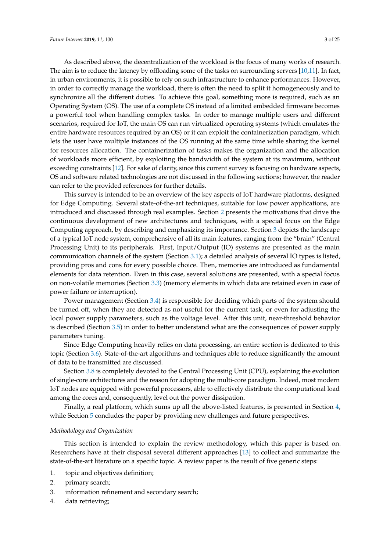As described above, the decentralization of the workload is the focus of many works of research. The aim is to reduce the latency by offloading some of the tasks on surrounding servers [10,11]. In fact, in urban environments, it is possible to rely on such infrastructure to enhance performances. However, in order to correctly manage the workload, there is often the need to split it homogeneously and to synchronize all the different duties. To achieve this goal, something more is required, such as an Operating System (OS). The use of a complete OS instead of a limited embedded firmware becomes a powerful tool when handling complex tasks. In order to manage multiple users and different scenarios, required for IoT, the main OS can run virtualized operating systems (which emulates the entire hardware resources required by an OS) or it can exploit the containerization paradigm, which lets the user have multiple instances of the OS running at the same time while sharing the kernel for resources allocation. The containerization of tasks makes the organization and the allocation of workloads more efficient, by exploiting the bandwidth of the system at its maximum, without exceeding constraints [12]. For sake of clarity, since this current survey is focusing on hardware aspects, OS and software related technologies are not discussed in the following sections; however, the reader can refer to the provided references for further details.

This survey is intended to be an overview of the key aspects of IoT hardware platforms, designed for Edge Computing. Several state-of-the-art techniques, suitable for low power applications, are introduced and discussed through real examples. Section 2 presents the motivations that drive the continuous development of new architectures and techniques, with a special focus on the Edge Computing approach, by describing and emphasizing its importance. Section 3 depicts the landscape of a typical IoT node system, comprehensive of all its main features, ranging from the "brain" (Central Processing Unit) to its peripherals. First, Input/Output (IO) systems are presented as the main communication channels of the system (Section 3.1); a detailed analysis of several IO types is listed, providing pros and cons for every possible choice. Then, memories are introduced as fundamental elements for data retention. Even in this case, several solutions are presented, with a special focus on non-volatile memories (Section 3.3) (memory elements in which data are retained even in case of power failure or interruption).

Power management (Section 3.4) is responsible for deciding which parts of the system should be turned off, when they are detected as not useful for the current task, or even for adjusting the local power supply parameters, such as the voltage level. After this unit, near-threshold behavior is described (Section 3.5) in order to better understand what are the consequences of power supply parameters tuning.

Since Edge Computing heavily relies on data processing, an entire section is dedicated to this topic (Section 3.6). State-of-the-art algorithms and techniques able to reduce significantly the amount of data to be transmitted are discussed.

Section 3.8 is completely devoted to the Central Processing Unit (CPU), explaining the evolution of single-core architectures and the reason for adopting the multi-core paradigm. Indeed, most modern IoT nodes are equipped with powerful processors, able to effectively distribute the computational load among the cores and, consequently, level out the power dissipation.

Finally, a real platform, which sums up all the above-listed features, is presented in Section 4, while Section 5 concludes the paper by providing new challenges and future perspectives.

#### *Methodology and Organization*

This section is intended to explain the review methodology, which this paper is based on. Researchers have at their disposal several different approaches [13] to collect and summarize the state-of-the-art literature on a specific topic. A review paper is the result of five generic steps:

- 1. topic and objectives definition;
- 2. primary search;
- 3. information refinement and secondary search;
- 4. data retrieving;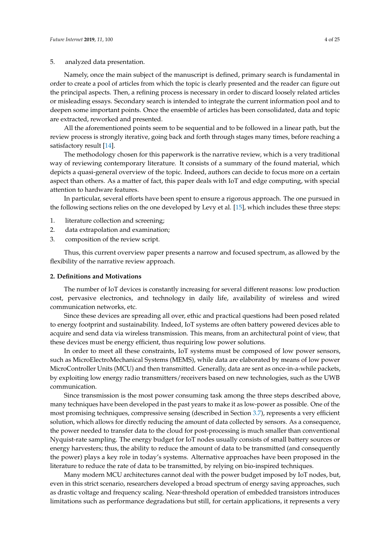5. analyzed data presentation.

Namely, once the main subject of the manuscript is defined, primary search is fundamental in order to create a pool of articles from which the topic is clearly presented and the reader can figure out the principal aspects. Then, a refining process is necessary in order to discard loosely related articles or misleading essays. Secondary search is intended to integrate the current information pool and to deepen some important points. Once the ensemble of articles has been consolidated, data and topic are extracted, reworked and presented.

All the aforementioned points seem to be sequential and to be followed in a linear path, but the review process is strongly iterative, going back and forth through stages many times, before reaching a satisfactory result [14].

The methodology chosen for this paperwork is the narrative review, which is a very traditional way of reviewing contemporary literature. It consists of a summary of the found material, which depicts a quasi-general overview of the topic. Indeed, authors can decide to focus more on a certain aspect than others. As a matter of fact, this paper deals with IoT and edge computing, with special attention to hardware features.

In particular, several efforts have been spent to ensure a rigorous approach. The one pursued in the following sections relies on the one developed by Levy et al. [15], which includes these three steps:

- 1. literature collection and screening;
- 2. data extrapolation and examination;
- 3. composition of the review script.

Thus, this current overview paper presents a narrow and focused spectrum, as allowed by the flexibility of the narrative review approach.

## **2. Definitions and Motivations**

The number of IoT devices is constantly increasing for several different reasons: low production cost, pervasive electronics, and technology in daily life, availability of wireless and wired communication networks, etc.

Since these devices are spreading all over, ethic and practical questions had been posed related to energy footprint and sustainability. Indeed, IoT systems are often battery powered devices able to acquire and send data via wireless transmission. This means, from an architectural point of view, that these devices must be energy efficient, thus requiring low power solutions.

In order to meet all these constraints, IoT systems must be composed of low power sensors, such as MicroElectroMechanical Systems (MEMS), while data are elaborated by means of low power MicroController Units (MCU) and then transmitted. Generally, data are sent as once-in-a-while packets, by exploiting low energy radio transmitters/receivers based on new technologies, such as the UWB communication.

Since transmission is the most power consuming task among the three steps described above, many techniques have been developed in the past years to make it as low-power as possible. One of the most promising techniques, compressive sensing (described in Section 3.7), represents a very efficient solution, which allows for directly reducing the amount of data collected by sensors. As a consequence, the power needed to transfer data to the cloud for post-processing is much smaller than conventional Nyquist-rate sampling. The energy budget for IoT nodes usually consists of small battery sources or energy harvesters; thus, the ability to reduce the amount of data to be transmitted (and consequently the power) plays a key role in today's systems. Alternative approaches have been proposed in the literature to reduce the rate of data to be transmitted, by relying on bio-inspired techniques.

Many modern MCU architectures cannot deal with the power budget imposed by IoT nodes, but, even in this strict scenario, researchers developed a broad spectrum of energy saving approaches, such as drastic voltage and frequency scaling. Near-threshold operation of embedded transistors introduces limitations such as performance degradations but still, for certain applications, it represents a very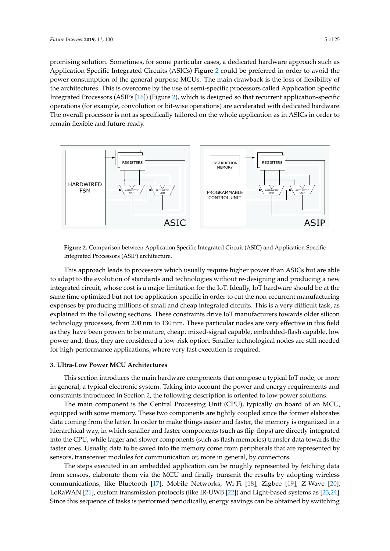promising solution. Sometimes, for some particular cases, a dedicated hardware approach such as Application Specific Integrated Circuits (ASICs) Figure 2 could be preferred in order to avoid the power consumption of the general purpose MCUs. The main drawback is the loss of flexibility of the architectures. This is overcome by the use of semi-specific processors called Application Specific Integrated Processors (ASIPs [16]) (Figure 2), which is designed so that recurrent application-specific operations (for example, convolution or bit-wise operations) are accelerated with dedicated hardware. The overall processor is not as specifically tailored on the whole application as in ASICs in order to remain flexible and future-ready.



**Figure 2.** Comparison between Application Specific Integrated Circuit (ASIC) and Application Specific Integrated Processors (ASIP) architecture.

This approach leads to processors which usually require higher power than ASICs but are able to adapt to the evolution of standards and technologies without re-designing and producing a new integrated circuit, whose cost is a major limitation for the IoT. Ideally, IoT hardware should be at the same time optimized but not too application-specific in order to cut the non-recurrent manufacturing expenses by producing millions of small and cheap integrated circuits. This is a very difficult task, as explained in the following sections. These constraints drive IoT manufacturers towards older silicon technology processes, from 200 nm to 130 nm. These particular nodes are very effective in this field as they have been proven to be mature, cheap, mixed-signal capable, embedded-flash capable, low power and, thus, they are considered a low-risk option. Smaller technological nodes are still needed for high-performance applications, where very fast execution is required.

#### **3. Ultra-Low Power MCU Architectures**

This section introduces the main hardware components that compose a typical IoT node, or more in general, a typical electronic system. Taking into account the power and energy requirements and constraints introduced in Section 2, the following description is oriented to low power solutions.

The main component is the Central Processing Unit (CPU), typically on board of an MCU, equipped with some memory. These two components are tightly coupled since the former elaborates data coming from the latter. In order to make things easier and faster, the memory is organized in a hierarchical way, in which smaller and faster components (such as flip-flops) are directly integrated into the CPU, while larger and slower components (such as flash memories) transfer data towards the faster ones. Usually, data to be saved into the memory come from peripherals that are represented by sensors, transceiver modules for communication or, more in general, by connectors.

The steps executed in an embedded application can be roughly represented by fetching data from sensors, elaborate them via the MCU and finally transmit the results by adopting wireless communications, like Bluetooth [17], Mobile Networks, Wi-Fi [18], Zigbee [19], Z-Wave [20], LoRaWAN [21], custom transmission protocols (like IR-UWB [22]) and Light-based systems as [23,24]. Since this sequence of tasks is performed periodically, energy savings can be obtained by switching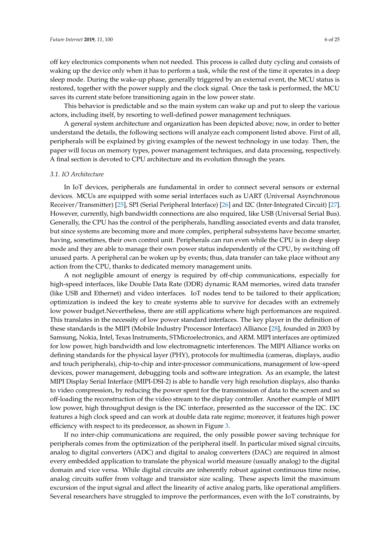off key electronics components when not needed. This process is called duty cycling and consists of waking up the device only when it has to perform a task, while the rest of the time it operates in a deep sleep mode. During the wake-up phase, generally triggered by an external event, the MCU status is restored, together with the power supply and the clock signal. Once the task is performed, the MCU saves its current state before transitioning again in the low power state.

This behavior is predictable and so the main system can wake up and put to sleep the various actors, including itself, by resorting to well-defined power management techniques.

A general system architecture and organization has been depicted above; now, in order to better understand the details, the following sections will analyze each component listed above. First of all, peripherals will be explained by giving examples of the newest technology in use today. Then, the paper will focus on memory types, power management techniques, and data processing, respectively. A final section is devoted to CPU architecture and its evolution through the years.

#### *3.1. IO Architecture*

In IoT devices, peripherals are fundamental in order to connect several sensors or external devices. MCUs are equipped with some serial interfaces such as UART (Universal Asynchronous Receiver/Transmitter) [25], SPI (Serial Peripheral Interface) [26] and I2C (Inter-Integrated Circuit) [27]. However, currently, high bandwidth connections are also required, like USB (Universal Serial Bus). Generally, the CPU has the control of the peripherals, handling associated events and data transfer, but since systems are becoming more and more complex, peripheral subsystems have become smarter, having, sometimes, their own control unit. Peripherals can run even while the CPU is in deep sleep mode and they are able to manage their own power status independently of the CPU, by switching off unused parts. A peripheral can be woken up by events; thus, data transfer can take place without any action from the CPU, thanks to dedicated memory management units.

A not negligible amount of energy is required by off-chip communications, especially for high-speed interfaces, like Double Data Rate (DDR) dynamic RAM memories, wired data transfer (like USB and Ethernet) and video interfaces. IoT nodes tend to be tailored to their application; optimization is indeed the key to create systems able to survive for decades with an extremely low power budget.Nevertheless, there are still applications where high performances are required. This translates in the necessity of low power standard interfaces. The key player in the definition of these standards is the MIPI (Mobile Industry Processor Interface) Alliance [28], founded in 2003 by Samsung, Nokia, Intel, Texas Instruments, STMicroelectronics, and ARM. MIPI interfaces are optimized for low power, high bandwidth and low electromagnetic interferences. The MIPI Alliance works on defining standards for the physical layer (PHY), protocols for multimedia (cameras, displays, audio and touch peripherals), chip-to-chip and inter-processor communications, management of low-speed devices, power management, debugging tools and software integration. As an example, the latest MIPI Display Serial Interface (MIPI-DSI-2) is able to handle very high resolution displays, also thanks to video compression, by reducing the power spent for the transmission of data to the screen and so off-loading the reconstruction of the video stream to the display controller. Another example of MIPI low power, high throughput design is the I3C interface, presented as the successor of the I2C. I3C features a high clock speed and can work at double data rate regime; moreover, it features high power efficiency with respect to its predecessor, as shown in Figure 3.

If no inter-chip communications are required, the only possible power saving technique for peripherals comes from the optimization of the peripheral itself. In particular mixed signal circuits, analog to digital converters (ADC) and digital to analog converters (DAC) are required in almost every embedded application to translate the physical world measure (usually analog) to the digital domain and vice versa. While digital circuits are inherently robust against continuous time noise, analog circuits suffer from voltage and transistor size scaling. These aspects limit the maximum excursion of the input signal and affect the linearity of active analog parts, like operational amplifiers. Several researchers have struggled to improve the performances, even with the IoT constraints, by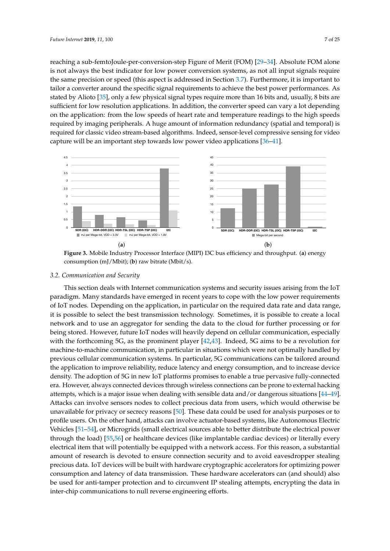reaching a sub-femtoJoule-per-conversion-step Figure of Merit (FOM) [29–34]. Absolute FOM alone is not always the best indicator for low power conversion systems, as not all input signals require the same precision or speed (this aspect is addressed in Section 3.7). Furthermore, it is important to tailor a converter around the specific signal requirements to achieve the best power performances. As stated by Alioto [35], only a few physical signal types require more than 16 bits and, usually, 8 bits are sufficient for low resolution applications. In addition, the converter speed can vary a lot depending on the application: from the low speeds of heart rate and temperature readings to the high speeds required by imaging peripherals. A huge amount of information redundancy (spatial and temporal) is required for classic video stream-based algorithms. Indeed, sensor-level compressive sensing for video capture will be an important step towards low power video applications [36–41].



**Figure 3.** Mobile Industry Processor Interface (MIPI) I3C bus efficiency and throughput. (**a**) energy consumption (mJ/Mbit); (**b**) raw bitrate (Mbit/s).

### *3.2. Communication and Security*

This section deals with Internet communication systems and security issues arising from the IoT paradigm. Many standards have emerged in recent years to cope with the low power requirements of IoT nodes. Depending on the application, in particular on the required data rate and data range, it is possible to select the best transmission technology. Sometimes, it is possible to create a local network and to use an aggregator for sending the data to the cloud for further processing or for being stored. However, future IoT nodes will heavily depend on cellular communication, especially with the forthcoming 5G, as the prominent player [42,43]. Indeed, 5G aims to be a revolution for machine-to-machine communication, in particular in situations which were not optimally handled by previous cellular communication systems. In particular, 5G communications can be tailored around the application to improve reliability, reduce latency and energy consumption, and to increase device density. The adoption of 5G in new IoT platforms promises to enable a true pervasive fully-connected era. However, always connected devices through wireless connections can be prone to external hacking attempts, which is a major issue when dealing with sensible data and/or dangerous situations [44–49]. Attacks can involve sensors nodes to collect precious data from users, which would otherwise be unavailable for privacy or secrecy reasons [50]. These data could be used for analysis purposes or to profile users. On the other hand, attacks can involve actuator-based systems, like Autonomous Electric Vehicles [51–54], or Microgrids (small electrical sources able to better distribute the electrical power through the load) [55,56] or healthcare devices (like implantable cardiac devices) or literally every electrical item that will potentially be equipped with a network access. For this reason, a substantial amount of research is devoted to ensure connection security and to avoid eavesdropper stealing precious data. IoT devices will be built with hardware cryptographic accelerators for optimizing power consumption and latency of data transmission. These hardware accelerators can (and should) also be used for anti-tamper protection and to circumvent IP stealing attempts, encrypting the data in inter-chip communications to null reverse engineering efforts.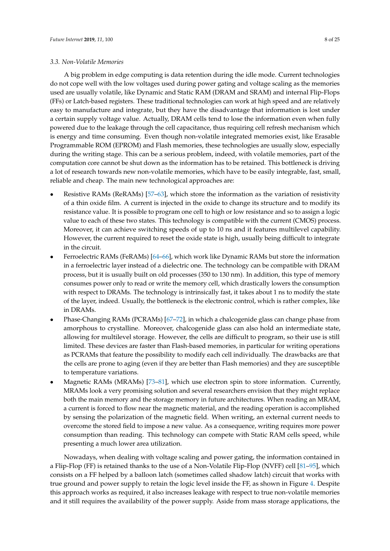#### *3.3. Non-Volatile Memories*

A big problem in edge computing is data retention during the idle mode. Current technologies do not cope well with the low voltages used during power gating and voltage scaling as the memories used are usually volatile, like Dynamic and Static RAM (DRAM and SRAM) and internal Flip-Flops (FFs) or Latch-based registers. These traditional technologies can work at high speed and are relatively easy to manufacture and integrate, but they have the disadvantage that information is lost under a certain supply voltage value. Actually, DRAM cells tend to lose the information even when fully powered due to the leakage through the cell capacitance, thus requiring cell refresh mechanism which is energy and time consuming. Even though non-volatile integrated memories exist, like Erasable Programmable ROM (EPROM) and Flash memories, these technologies are usually slow, especially during the writing stage. This can be a serious problem, indeed, with volatile memories, part of the computation core cannot be shut down as the information has to be retained. This bottleneck is driving a lot of research towards new non-volatile memories, which have to be easily integrable, fast, small, reliable and cheap. The main new technological approaches are:

- Resistive RAMs (ReRAMs) [57–63], which store the information as the variation of resistivity of a thin oxide film. A current is injected in the oxide to change its structure and to modify its resistance value. It is possible to program one cell to high or low resistance and so to assign a logic value to each of these two states. This technology is compatible with the current (CMOS) process. Moreover, it can achieve switching speeds of up to 10 ns and it features multilevel capability. However, the current required to reset the oxide state is high, usually being difficult to integrate in the circuit.
- Ferroelectric RAMs (FeRAMs) [64–66], which work like Dynamic RAMs but store the information in a ferroelectric layer instead of a dielectric one. The technology can be compatible with DRAM process, but it is usually built on old processes (350 to 130 nm). In addition, this type of memory consumes power only to read or write the memory cell, which drastically lowers the consumption with respect to DRAMs. The technology is intrinsically fast, it takes about 1 ns to modify the state of the layer, indeed. Usually, the bottleneck is the electronic control, which is rather complex, like in DRAMs.
- Phase-Changing RAMs (PCRAMs) [67–72], in which a chalcogenide glass can change phase from amorphous to crystalline. Moreover, chalcogenide glass can also hold an intermediate state, allowing for multilevel storage. However, the cells are difficult to program, so their use is still limited. These devices are faster than Flash-based memories, in particular for writing operations as PCRAMs that feature the possibility to modify each cell individually. The drawbacks are that the cells are prone to aging (even if they are better than Flash memories) and they are susceptible to temperature variations.
- Magnetic RAMs (MRAMs) [73–81], which use electron spin to store information. Currently, MRAMs look a very promising solution and several researchers envision that they might replace both the main memory and the storage memory in future architectures. When reading an MRAM, a current is forced to flow near the magnetic material, and the reading operation is accomplished by sensing the polarization of the magnetic field. When writing, an external current needs to overcome the stored field to impose a new value. As a consequence, writing requires more power consumption than reading. This technology can compete with Static RAM cells speed, while presenting a much lower area utilization.

Nowadays, when dealing with voltage scaling and power gating, the information contained in a Flip-Flop (FF) is retained thanks to the use of a Non-Volatile Flip-Flop (NVFF) cell [81–95], which consists on a FF helped by a balloon latch (sometimes called shadow latch) circuit that works with true ground and power supply to retain the logic level inside the FF, as shown in Figure 4. Despite this approach works as required, it also increases leakage with respect to true non-volatile memories and it still requires the availability of the power supply. Aside from mass storage applications, the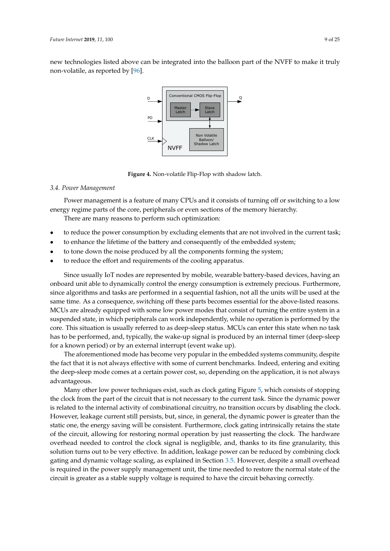new technologies listed above can be integrated into the balloon part of the NVFF to make it truly non-volatile, as reported by [96].



**Figure 4.** Non-volatile Flip-Flop with shadow latch.

## *3.4. Power Management*

Power management is a feature of many CPUs and it consists of turning off or switching to a low energy regime parts of the core, peripherals or even sections of the memory hierarchy.

There are many reasons to perform such optimization:

- to reduce the power consumption by excluding elements that are not involved in the current task;
- to enhance the lifetime of the battery and consequently of the embedded system;
- to tone down the noise produced by all the components forming the system;
- to reduce the effort and requirements of the cooling apparatus.

Since usually IoT nodes are represented by mobile, wearable battery-based devices, having an onboard unit able to dynamically control the energy consumption is extremely precious. Furthermore, since algorithms and tasks are performed in a sequential fashion, not all the units will be used at the same time. As a consequence, switching off these parts becomes essential for the above-listed reasons. MCUs are already equipped with some low power modes that consist of turning the entire system in a suspended state, in which peripherals can work independently, while no operation is performed by the core. This situation is usually referred to as deep-sleep status. MCUs can enter this state when no task has to be performed, and, typically, the wake-up signal is produced by an internal timer (deep-sleep for a known period) or by an external interrupt (event wake up).

The aforementioned mode has become very popular in the embedded systems community, despite the fact that it is not always effective with some of current benchmarks. Indeed, entering and exiting the deep-sleep mode comes at a certain power cost, so, depending on the application, it is not always advantageous.

Many other low power techniques exist, such as clock gating Figure 5, which consists of stopping the clock from the part of the circuit that is not necessary to the current task. Since the dynamic power is related to the internal activity of combinational circuitry, no transition occurs by disabling the clock. However, leakage current still persists, but, since, in general, the dynamic power is greater than the static one, the energy saving will be consistent. Furthermore, clock gating intrinsically retains the state of the circuit, allowing for restoring normal operation by just reasserting the clock. The hardware overhead needed to control the clock signal is negligible, and, thanks to its fine granularity, this solution turns out to be very effective. In addition, leakage power can be reduced by combining clock gating and dynamic voltage scaling, as explained in Section 3.5. However, despite a small overhead is required in the power supply management unit, the time needed to restore the normal state of the circuit is greater as a stable supply voltage is required to have the circuit behaving correctly.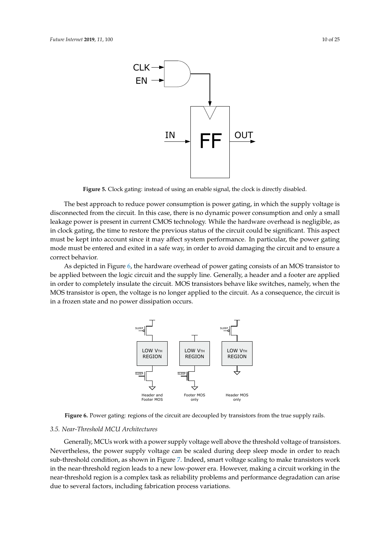

**Figure 5.** Clock gating: instead of using an enable signal, the clock is directly disabled.

The best approach to reduce power consumption is power gating, in which the supply voltage is disconnected from the circuit. In this case, there is no dynamic power consumption and only a small leakage power is present in current CMOS technology. While the hardware overhead is negligible, as in clock gating, the time to restore the previous status of the circuit could be significant. This aspect must be kept into account since it may affect system performance. In particular, the power gating mode must be entered and exited in a safe way, in order to avoid damaging the circuit and to ensure a correct behavior.

As depicted in Figure 6, the hardware overhead of power gating consists of an MOS transistor to be applied between the logic circuit and the supply line. Generally, a header and a footer are applied in order to completely insulate the circuit. MOS transistors behave like switches, namely, when the MOS transistor is open, the voltage is no longer applied to the circuit. As a consequence, the circuit is in a frozen state and no power dissipation occurs.



**Figure 6.** Power gating: regions of the circuit are decoupled by transistors from the true supply rails.

#### *3.5. Near-Threshold MCU Architectures*

Generally, MCUs work with a power supply voltage well above the threshold voltage of transistors. Nevertheless, the power supply voltage can be scaled during deep sleep mode in order to reach sub-threshold condition, as shown in Figure 7. Indeed, smart voltage scaling to make transistors work in the near-threshold region leads to a new low-power era. However, making a circuit working in the near-threshold region is a complex task as reliability problems and performance degradation can arise due to several factors, including fabrication process variations.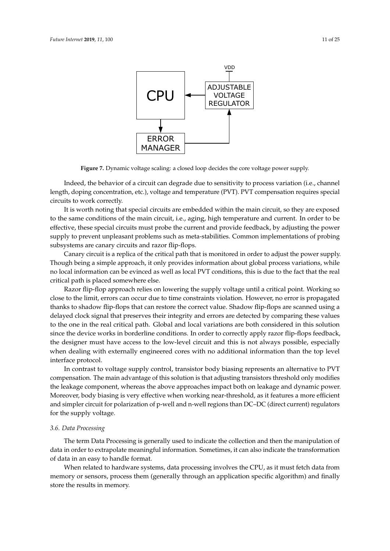

**Figure 7.** Dynamic voltage scaling: a closed loop decides the core voltage power supply.

Indeed, the behavior of a circuit can degrade due to sensitivity to process variation (i.e., channel length, doping concentration, etc.), voltage and temperature (PVT). PVT compensation requires special circuits to work correctly.

It is worth noting that special circuits are embedded within the main circuit, so they are exposed to the same conditions of the main circuit, i.e., aging, high temperature and current. In order to be effective, these special circuits must probe the current and provide feedback, by adjusting the power supply to prevent unpleasant problems such as meta-stabilities. Common implementations of probing subsystems are canary circuits and razor flip-flops.

Canary circuit is a replica of the critical path that is monitored in order to adjust the power supply. Though being a simple approach, it only provides information about global process variations, while no local information can be evinced as well as local PVT conditions, this is due to the fact that the real critical path is placed somewhere else.

Razor flip-flop approach relies on lowering the supply voltage until a critical point. Working so close to the limit, errors can occur due to time constraints violation. However, no error is propagated thanks to shadow flip-flops that can restore the correct value. Shadow flip-flops are scanned using a delayed clock signal that preserves their integrity and errors are detected by comparing these values to the one in the real critical path. Global and local variations are both considered in this solution since the device works in borderline conditions. In order to correctly apply razor flip-flops feedback, the designer must have access to the low-level circuit and this is not always possible, especially when dealing with externally engineered cores with no additional information than the top level interface protocol.

In contrast to voltage supply control, transistor body biasing represents an alternative to PVT compensation. The main advantage of this solution is that adjusting transistors threshold only modifies the leakage component, whereas the above approaches impact both on leakage and dynamic power. Moreover, body biasing is very effective when working near-threshold, as it features a more efficient and simpler circuit for polarization of p-well and n-well regions than DC–DC (direct current) regulators for the supply voltage.

### *3.6. Data Processing*

The term Data Processing is generally used to indicate the collection and then the manipulation of data in order to extrapolate meaningful information. Sometimes, it can also indicate the transformation of data in an easy to handle format.

When related to hardware systems, data processing involves the CPU, as it must fetch data from memory or sensors, process them (generally through an application specific algorithm) and finally store the results in memory.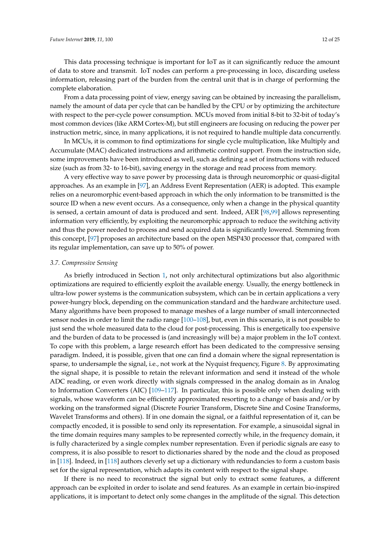This data processing technique is important for IoT as it can significantly reduce the amount of data to store and transmit. IoT nodes can perform a pre-processing in loco, discarding useless information, releasing part of the burden from the central unit that is in charge of performing the complete elaboration.

From a data processing point of view, energy saving can be obtained by increasing the parallelism, namely the amount of data per cycle that can be handled by the CPU or by optimizing the architecture with respect to the per-cycle power consumption. MCUs moved from initial 8-bit to 32-bit of today's most common devices (like ARM Cortex-M), but still engineers are focusing on reducing the power per instruction metric, since, in many applications, it is not required to handle multiple data concurrently.

In MCUs, it is common to find optimizations for single cycle multiplication, like Multiply and Accumulate (MAC) dedicated instructions and arithmetic control support. From the instruction side, some improvements have been introduced as well, such as defining a set of instructions with reduced size (such as from 32- to 16-bit), saving energy in the storage and read process from memory.

A very effective way to save power by processing data is through neuromorphic or quasi-digital approaches. As an example in [97], an Address Event Representation (AER) is adopted. This example relies on a neuromorphic event-based approach in which the only information to be transmitted is the source ID when a new event occurs. As a consequence, only when a change in the physical quantity is sensed, a certain amount of data is produced and sent. Indeed, AER [98,99] allows representing information very efficiently, by exploiting the neuromorphic approach to reduce the switching activity and thus the power needed to process and send acquired data is significantly lowered. Stemming from this concept, [97] proposes an architecture based on the open MSP430 processor that, compared with its regular implementation, can save up to 50% of power.

#### *3.7. Compressive Sensing*

As briefly introduced in Section 1, not only architectural optimizations but also algorithmic optimizations are required to efficiently exploit the available energy. Usually, the energy bottleneck in ultra-low power systems is the communication subsystem, which can be in certain applications a very power-hungry block, depending on the communication standard and the hardware architecture used. Many algorithms have been proposed to manage meshes of a large number of small interconnected sensor nodes in order to limit the radio range [100–108], but, even in this scenario, it is not possible to just send the whole measured data to the cloud for post-processing. This is energetically too expensive and the burden of data to be processed is (and increasingly will be) a major problem in the IoT context. To cope with this problem, a large research effort has been dedicated to the compressive sensing paradigm. Indeed, it is possible, given that one can find a domain where the signal representation is sparse, to undersample the signal, i.e., not work at the Nyquist frequency, Figure 8. By approximating the signal shape, it is possible to retain the relevant information and send it instead of the whole ADC reading, or even work directly with signals compressed in the analog domain as in Analog to Information Converters (AIC) [109–117]. In particular, this is possible only when dealing with signals, whose waveform can be efficiently approximated resorting to a change of basis and/or by working on the transformed signal (Discrete Fourier Transform, Discrete Sine and Cosine Transforms, Wavelet Transforms and others). If in one domain the signal, or a faithful representation of it, can be compactly encoded, it is possible to send only its representation. For example, a sinusoidal signal in the time domain requires many samples to be represented correctly while, in the frequency domain, it is fully characterized by a single complex number representation. Even if periodic signals are easy to compress, it is also possible to resort to dictionaries shared by the node and the cloud as proposed in [118]. Indeed, in [118] authors cleverly set up a dictionary with redundancies to form a custom basis set for the signal representation, which adapts its content with respect to the signal shape.

If there is no need to reconstruct the signal but only to extract some features, a different approach can be exploited in order to isolate and send features. As an example in certain bio-inspired applications, it is important to detect only some changes in the amplitude of the signal. This detection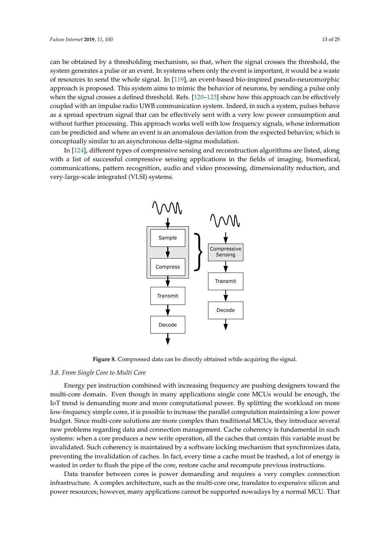can be obtained by a thresholding mechanism, so that, when the signal crosses the threshold, the system generates a pulse or an event. In systems where only the event is important, it would be a waste of resources to send the whole signal. In [119], an event-based bio-inspired pseudo-neuromorphic approach is proposed. This system aims to mimic the behavior of neurons, by sending a pulse only when the signal crosses a defined threshold. Refs. [120–123] show how this approach can be effectively coupled with an impulse radio UWB communication system. Indeed, in such a system, pulses behave as a spread spectrum signal that can be effectively sent with a very low power consumption and without further processing. This approach works well with low frequency signals, whose information can be predicted and where an event is an anomalous deviation from the expected behavior, which is conceptually similar to an asynchronous delta-sigma modulation.

In [124], different types of compressive sensing and reconstruction algorithms are listed, along with a list of successful compressive sensing applications in the fields of imaging, biomedical, communications, pattern recognition, audio and video processing, dimensionality reduction, and very-large-scale integrated (VLSI) systems.



**Figure 8.** Compressed data can be directly obtained while acquiring the signal.

## *3.8. From Single Core to Multi Core*

Energy per instruction combined with increasing frequency are pushing designers toward the multi-core domain. Even though in many applications single core MCUs would be enough, the IoT trend is demanding more and more computational power. By splitting the workload on more low-frequency simple cores, it is possible to increase the parallel computation maintaining a low power budget. Since multi-core solutions are more complex than traditional MCUs, they introduce several new problems regarding data and connection management. Cache coherency is fundamental in such systems: when a core produces a new write operation, all the caches that contain this variable must be invalidated. Such coherency is maintained by a software locking mechanism that synchronizes data, preventing the invalidation of caches. In fact, every time a cache must be trashed, a lot of energy is wasted in order to flush the pipe of the core, restore cache and recompute previous instructions.

Data transfer between cores is power demanding and requires a very complex connection infrastructure. A complex architecture, such as the multi-core one, translates to expensive silicon and power resources; however, many applications cannot be supported nowadays by a normal MCU. That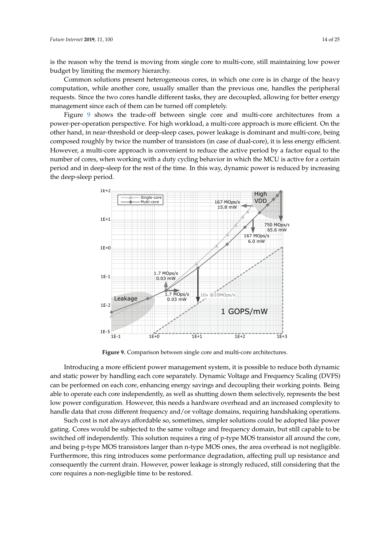is the reason why the trend is moving from single core to multi-core, still maintaining low power budget by limiting the memory hierarchy.

Common solutions present heterogeneous cores, in which one core is in charge of the heavy computation, while another core, usually smaller than the previous one, handles the peripheral requests. Since the two cores handle different tasks, they are decoupled, allowing for better energy management since each of them can be turned off completely.

Figure 9 shows the trade-off between single core and multi-core architectures from a power-per-operation perspective. For high workload, a multi-core approach is more efficient. On the other hand, in near-threshold or deep-sleep cases, power leakage is dominant and multi-core, being composed roughly by twice the number of transistors (in case of dual-core), it is less energy efficient. However, a multi-core approach is convenient to reduce the active period by a factor equal to the number of cores, when working with a duty cycling behavior in which the MCU is active for a certain period and in deep-sleep for the rest of the time. In this way, dynamic power is reduced by increasing the deep-sleep period.



**Figure 9.** Comparison between single core and multi-core architectures.

Introducing a more efficient power management system, it is possible to reduce both dynamic and static power by handling each core separately. Dynamic Voltage and Frequency Scaling (DVFS) can be performed on each core, enhancing energy savings and decoupling their working points. Being able to operate each core independently, as well as shutting down them selectively, represents the best low power configuration. However, this needs a hardware overhead and an increased complexity to handle data that cross different frequency and/or voltage domains, requiring handshaking operations.

Such cost is not always affordable so, sometimes, simpler solutions could be adopted like power gating. Cores would be subjected to the same voltage and frequency domain, but still capable to be switched off independently. This solution requires a ring of p-type MOS transistor all around the core, and being p-type MOS transistors larger than n-type MOS ones, the area overhead is not negligible. Furthermore, this ring introduces some performance degradation, affecting pull up resistance and consequently the current drain. However, power leakage is strongly reduced, still considering that the core requires a non-negligible time to be restored.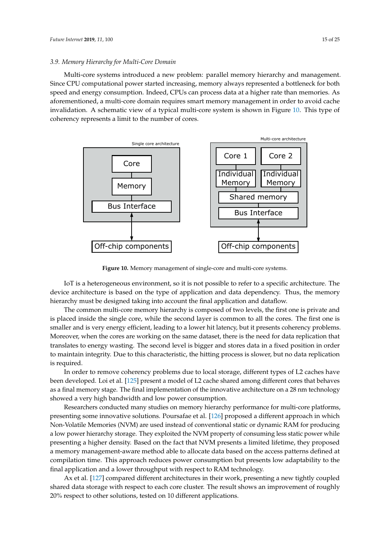#### *3.9. Memory Hierarchy for Multi-Core Domain*

Multi-core systems introduced a new problem: parallel memory hierarchy and management. Since CPU computational power started increasing, memory always represented a bottleneck for both speed and energy consumption. Indeed, CPUs can process data at a higher rate than memories. As aforementioned, a multi-core domain requires smart memory management in order to avoid cache invalidation. A schematic view of a typical multi-core system is shown in Figure 10. This type of coherency represents a limit to the number of cores.



**Figure 10.** Memory management of single-core and multi-core systems.

IoT is a heterogeneous environment, so it is not possible to refer to a specific architecture. The device architecture is based on the type of application and data dependency. Thus, the memory hierarchy must be designed taking into account the final application and dataflow.

The common multi-core memory hierarchy is composed of two levels, the first one is private and is placed inside the single core, while the second layer is common to all the cores. The first one is smaller and is very energy efficient, leading to a lower hit latency, but it presents coherency problems. Moreover, when the cores are working on the same dataset, there is the need for data replication that translates to energy wasting. The second level is bigger and stores data in a fixed position in order to maintain integrity. Due to this characteristic, the hitting process is slower, but no data replication is required.

In order to remove coherency problems due to local storage, different types of L2 caches have been developed. Loi et al. [125] present a model of L2 cache shared among different cores that behaves as a final memory stage. The final implementation of the innovative architecture on a 28 nm technology showed a very high bandwidth and low power consumption.

Researchers conducted many studies on memory hierarchy performance for multi-core platforms, presenting some innovative solutions. Poursafae et al. [126] proposed a different approach in which Non-Volatile Memories (NVM) are used instead of conventional static or dynamic RAM for producing a low power hierarchy storage. They exploited the NVM property of consuming less static power while presenting a higher density. Based on the fact that NVM presents a limited lifetime, they proposed a memory management-aware method able to allocate data based on the access patterns defined at compilation time. This approach reduces power consumption but presents low adaptability to the final application and a lower throughput with respect to RAM technology.

Ax et al. [127] compared different architectures in their work, presenting a new tightly coupled shared data storage with respect to each core cluster. The result shows an improvement of roughly 20% respect to other solutions, tested on 10 different applications.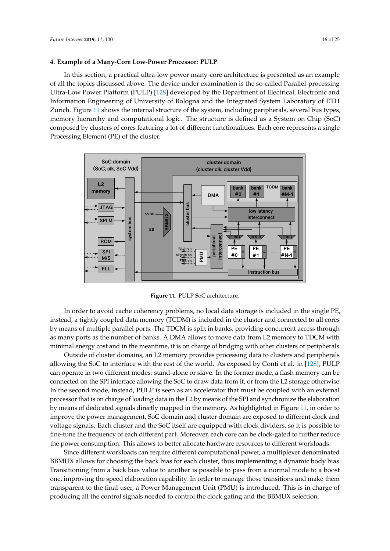#### **4. Example of a Many-Core Low-Power Processor: PULP**

In this section, a practical ultra-low power many-core architecture is presented as an example of all the topics discussed above. The device under examination is the so-called Parallel-processing Ultra-Low Power Platform (PULP) [128] developed by the Department of Electrical, Electronic and Information Engineering of University of Bologna and the Integrated System Laboratory of ETH Zurich. Figure 11 shows the internal structure of the system, including peripherals, several bus types, memory hierarchy and computational logic. The structure is defined as a System on Chip (SoC) composed by clusters of cores featuring a lot of different functionalities. Each core represents a single Processing Element (PE) of the cluster.



**Figure 11.** PULP SoC architecture.

In order to avoid cache coherency problems, no local data storage is included in the single PE, instead, a tightly coupled data memory (TCDM) is included in the cluster and connected to all cores by means of multiple parallel ports. The TDCM is split in banks, providing concurrent access through as many ports as the number of banks. A DMA allows to move data from L2 memory to TDCM with minimal energy cost and in the meantime, it is on charge of bridging with other clusters or peripherals.

Outside of cluster domains, an L2 memory provides processing data to clusters and peripherals allowing the SoC to interface with the rest of the world. As exposed by Conti et al. in [128], PULP can operate in two different modes: stand-alone or slave. In the former mode, a flash memory can be connected on the SPI interface allowing the SoC to draw data from it, or from the L2 storage otherwise. In the second mode, instead, PULP is seen as an accelerator that must be coupled with an external processor that is on charge of loading data in the L2 by means of the SPI and synchronize the elaboration by means of dedicated signals directly mapped in the memory. As highlighted in Figure 11, in order to improve the power management, SoC domain and cluster domain are exposed to different clock and voltage signals. Each cluster and the SoC itself are equipped with clock dividers, so it is possible to fine-tune the frequency of each different part. Moreover, each core can be clock-gated to further reduce the power consumption. This allows to better allocate hardware resources to different workloads.

Since different workloads can require different computational power, a multiplexer denominated BBMUX allows for choosing the back bias for each cluster, thus implementing a dynamic body bias. Transitioning from a back bias value to another is possible to pass from a normal mode to a boost one, improving the speed elaboration capability. In order to manage those transitions and make them transparent to the final user, a Power Management Unit (PMU) is introduced. This is in charge of producing all the control signals needed to control the clock gating and the BBMUX selection.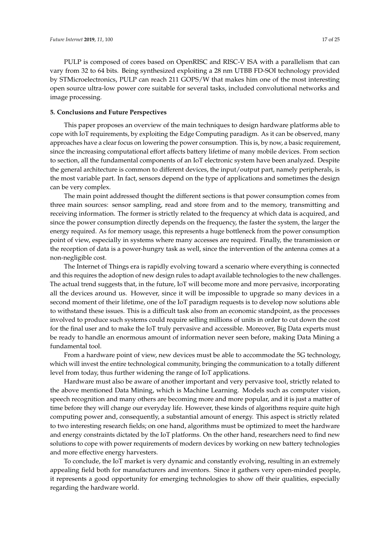PULP is composed of cores based on OpenRISC and RISC-V ISA with a parallelism that can vary from 32 to 64 bits. Being synthesized exploiting a 28 nm UTBB FD-SOI technology provided by STMicroelectronics, PULP can reach 211 GOPS/W that makes him one of the most interesting open source ultra-low power core suitable for several tasks, included convolutional networks and image processing.

## **5. Conclusions and Future Perspectives**

This paper proposes an overview of the main techniques to design hardware platforms able to cope with IoT requirements, by exploiting the Edge Computing paradigm. As it can be observed, many approaches have a clear focus on lowering the power consumption. This is, by now, a basic requirement, since the increasing computational effort affects battery lifetime of many mobile devices. From section to section, all the fundamental components of an IoT electronic system have been analyzed. Despite the general architecture is common to different devices, the input/output part, namely peripherals, is the most variable part. In fact, sensors depend on the type of applications and sometimes the design can be very complex.

The main point addressed thought the different sections is that power consumption comes from three main sources: sensor sampling, read and store from and to the memory, transmitting and receiving information. The former is strictly related to the frequency at which data is acquired, and since the power consumption directly depends on the frequency, the faster the system, the larger the energy required. As for memory usage, this represents a huge bottleneck from the power consumption point of view, especially in systems where many accesses are required. Finally, the transmission or the reception of data is a power-hungry task as well, since the intervention of the antenna comes at a non-negligible cost.

The Internet of Things era is rapidly evolving toward a scenario where everything is connected and this requires the adoption of new design rules to adapt available technologies to the new challenges. The actual trend suggests that, in the future, IoT will become more and more pervasive, incorporating all the devices around us. However, since it will be impossible to upgrade so many devices in a second moment of their lifetime, one of the IoT paradigm requests is to develop now solutions able to withstand these issues. This is a difficult task also from an economic standpoint, as the processes involved to produce such systems could require selling millions of units in order to cut down the cost for the final user and to make the IoT truly pervasive and accessible. Moreover, Big Data experts must be ready to handle an enormous amount of information never seen before, making Data Mining a fundamental tool.

From a hardware point of view, new devices must be able to accommodate the 5G technology, which will invest the entire technological community, bringing the communication to a totally different level from today, thus further widening the range of IoT applications.

Hardware must also be aware of another important and very pervasive tool, strictly related to the above mentioned Data Mining, which is Machine Learning. Models such as computer vision, speech recognition and many others are becoming more and more popular, and it is just a matter of time before they will change our everyday life. However, these kinds of algorithms require quite high computing power and, consequently, a substantial amount of energy. This aspect is strictly related to two interesting research fields; on one hand, algorithms must be optimized to meet the hardware and energy constraints dictated by the IoT platforms. On the other hand, researchers need to find new solutions to cope with power requirements of modern devices by working on new battery technologies and more effective energy harvesters.

To conclude, the IoT market is very dynamic and constantly evolving, resulting in an extremely appealing field both for manufacturers and inventors. Since it gathers very open-minded people, it represents a good opportunity for emerging technologies to show off their qualities, especially regarding the hardware world.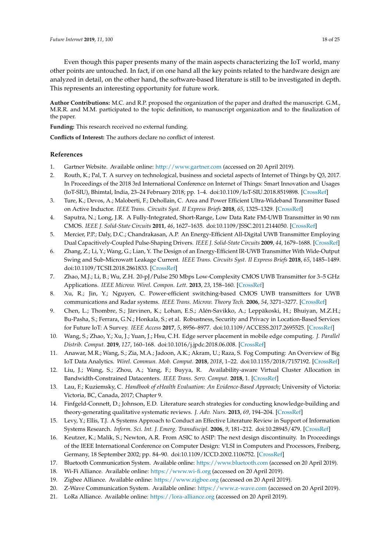Even though this paper presents many of the main aspects characterizing the IoT world, many other points are untouched. In fact, if on one hand all the key points related to the hardware design are analyzed in detail, on the other hand, the software-based literature is still to be investigated in depth. This represents an interesting opportunity for future work.

**Author Contributions:** M.C. and R.P. proposed the organization of the paper and drafted the manuscript. G.M., M.R.R. and M.M. participated to the topic definition, to manuscript organization and to the finalization of the paper.

**Funding:** This research received no external funding.

**Conflicts of Interest:** The authors declare no conflict of interest.

## **References**

- 1. Gartner Website. Available online: <http://www.gartner.com> (accessed on 20 April 2019).
- 2. Routh, K.; Pal, T. A survey on technological, business and societal aspects of Internet of Things by Q3, 2017. In Proceedings of the 2018 3rd International Conference on Internet of Things: Smart Innovation and Usages (IoT-SIU), Bhimtal, India, 23–24 February 2018; pp. 1–4. doi[:10.1109/IoT-SIU.2018.8519898.](https://doi.org/10.1109/IoT-SIU.2018.8519898) [\[CrossRef\]](http://dx.doi.org/10.1109/IoT-SIU.2018.8519898)
- 3. Ture, K.; Devos, A.; Maloberti, F.; Dehollain, C. Area and Power Efficient Ultra-Wideband Transmitter Based on Active Inductor. *IEEE Trans. Circuits Syst. II Express Briefs* **2018**, *65*, 1325–1329. [\[CrossRef\]](http://dx.doi.org/10.1109/TCSII.2018.2853190)
- 4. Saputra, N.; Long, J.R. A Fully-Integrated, Short-Range, Low Data Rate FM-UWB Transmitter in 90 nm CMOS. *IEEE J. Solid-State Circuits* **2011**, *46*, 1627–1635. doi[:10.1109/JSSC.2011.2144050.](https://doi.org/10.1109/JSSC.2011.2144050) [\[CrossRef\]](http://dx.doi.org/10.1109/JSSC.2011.2144050)
- 5. Mercier, P.P.; Daly, D.C.; Chandrakasan, A.P. An Energy-Efficient All-Digital UWB Transmitter Employing Dual Capacitively-Coupled Pulse-Shaping Drivers. *IEEE J. Solid-State Circuits* **2009**, *44*, 1679–1688. [\[CrossRef\]](http://dx.doi.org/10.1109/JSSC.2009.2020466)
- 6. Zhang, Z.; Li, Y.; Wang, G.; Lian, Y. The Design of an Energy-Efficient IR-UWB Transmitter With Wide-Output Swing and Sub-Microwatt Leakage Current. *IEEE Trans. Circuits Syst. II Express Briefs* **2018**, *65*, 1485–1489. doi[:10.1109/TCSII.2018.2861833.](https://doi.org/10.1109/TCSII.2018.2861833) [\[CrossRef\]](http://dx.doi.org/10.1109/TCSII.2018.2861833)
- 7. Zhao, M.J.; Li, B.; Wu, Z.H. 20-pJ/Pulse 250 Mbps Low-Complexity CMOS UWB Transmitter for 3–5 GHz Applications. *IEEE Microw. Wirel. Compon. Lett.* **2013**, *23*, 158–160. [\[CrossRef\]](http://dx.doi.org/10.1109/LMWC.2013.2245412)
- 8. Xu, R.; Jin, Y.; Nguyen, C. Power-efficient switching-based CMOS UWB transmitters for UWB communications and Radar systems. *IEEE Trans. Microw. Theory Tech.* **2006**, *54*, 3271–3277. [\[CrossRef\]](http://dx.doi.org/10.1109/TMTT.2006.877830)
- 9. Chen, L.; Thombre, S.; Järvinen, K.; Lohan, E.S.; Alén-Savikko, A.; Leppäkoski, H.; Bhuiyan, M.Z.H.; Bu-Pasha, S.; Ferrara, G.N.; Honkala, S.; et al. Robustness, Security and Privacy in Location-Based Services for Future IoT: A Survey. *IEEE Access* **2017**, *5*, 8956–8977. doi[:10.1109/ACCESS.2017.2695525.](https://doi.org/10.1109/ACCESS.2017.2695525) [\[CrossRef\]](http://dx.doi.org/10.1109/ACCESS.2017.2695525)
- 10. Wang, S.; Zhao, Y.; Xu, J.; Yuan, J.; Hsu, C.H. Edge server placement in mobile edge computing. *J. Parallel Distrib. Comput.* **2019**, *127*, 160–168. doi[:10.1016/j.jpdc.2018.06.008.](https://doi.org/https://doi.org/10.1016/j.jpdc.2018.06.008) [\[CrossRef\]](http://dx.doi.org/10.1016/j.jpdc.2018.06.008)
- 11. Anawar, M.R.; Wang, S.; Zia, M.A.; Jadoon, A.K.; Akram, U.; Raza, S. Fog Computing: An Overview of Big IoT Data Analytics. *Wirel. Commun. Mob. Comput.* **2018**, *2018*, 1–22. doi[:10.1155/2018/7157192.](https://doi.org/10.1155/2018/7157192) [\[CrossRef\]](http://dx.doi.org/10.1155/2018/7157192)
- 12. Liu, J.; Wang, S.; Zhou, A.; Yang, F.; Buyya, R. Availability-aware Virtual Cluster Allocation in Bandwidth-Constrained Datacenters. *IEEE Trans. Serv. Comput.* **2018**, 1. [\[CrossRef\]](http://dx.doi.org/10.1109/TSC.2017.2694838)
- 13. Lau, F.; Kuziemsky, C. *Handbook of eHealth Evaluation: An Evidence-Based Approach*; University of Victoria: Victoria, BC, Canada, 2017; Chapter 9.
- 14. Finfgeld-Connett, D.; Johnson, E.D. Literature search strategies for conducting knowledge-building and theory-generating qualitative systematic reviews. *J. Adv. Nurs.* **2013**, *69*, 194–204. [\[CrossRef\]](http://dx.doi.org/10.1111/j.1365-2648.2012.06037.x)
- 15. Levy, Y.; Ellis, T.J. A Systems Approach to Conduct an Effective Literature Review in Support of Information Systems Research. *Inform. Sci. Int. J. Emerg. Transdiscipl.* **2006**, *9*, 181–212. doi[:10.28945/479.](https://doi.org/10.28945/479) [\[CrossRef\]](http://dx.doi.org/10.28945/479)
- 16. Keutzer, K.; Malik, S.; Newton, A.R. From ASIC to ASIP: The next design discontinuity. In Proceedings of the IEEE International Conference on Computer Design: VLSI in Computers and Processors, Freiberg, Germany, 18 September 2002; pp. 84–90. doi[:10.1109/ICCD.2002.1106752.](https://doi.org/10.1109/ICCD.2002.1106752) [\[CrossRef\]](http://dx.doi.org/10.1109/ICCD.2002.1106752)
- 17. Bluetooth Communication System. Available online: <https://www.bluetooth.com> (accessed on 20 April 2019).
- 18. Wi-Fi Alliance. Available online: <https://www.wi-fi.org> (accessed on 20 April 2019).
- 19. Zigbee Alliance. Available online: <https://www.zigbee.org> (accessed on 20 April 2019).
- 20. Z-Wave Communication System. Available online: <https://www.z-wave.com> (accessed on 20 April 2019).
- 21. LoRa Alliance. Available online: <https://lora-alliance.org> (accessed on 20 April 2019).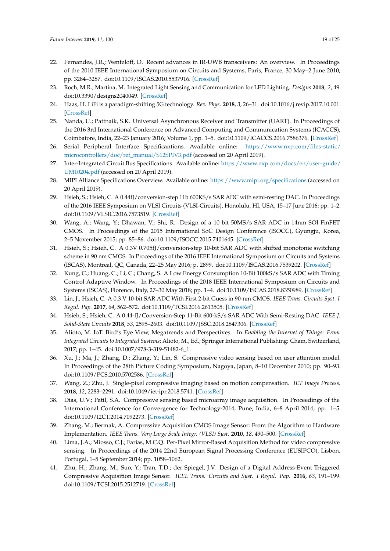- 22. Fernandes, J.R.; Wentzloff, D. Recent advances in IR-UWB transceivers: An overview. In Proceedings of the 2010 IEEE International Symposium on Circuits and Systems, Paris, France, 30 May–2 June 2010; pp. 3284–3287. doi[:10.1109/ISCAS.2010.5537916.](https://doi.org/10.1109/ISCAS.2010.5537916) [\[CrossRef\]](http://dx.doi.org/10.1109/ISCAS.2010.5537916)
- 23. Roch, M.R.; Martina, M. Integrated Light Sensing and Communication for LED Lighting. *Designs* **2018**, *2*, 49. doi[:10.3390/designs2040049.](https://doi.org/10.3390/designs2040049) [\[CrossRef\]](http://dx.doi.org/10.3390/designs2040049)
- 24. Haas, H. LiFi is a paradigm-shifting 5G technology. *Rev. Phys.* **2018**, *3*, 26–31. doi[:10.1016/j.revip.2017.10.001.](https://doi.org/https://doi.org/10.1016/j.revip.2017.10.001) [\[CrossRef\]](http://dx.doi.org/10.1016/j.revip.2017.10.001)
- 25. Nanda, U.; Pattnaik, S.K. Universal Asynchronous Receiver and Transmitter (UART). In Proceedings of the 2016 3rd International Conference on Advanced Computing and Communication Systems (ICACCS), Coimbatore, India, 22–23 January 2016; Volume 1, pp. 1–5. doi[:10.1109/ICACCS.2016.7586376.](https://doi.org/10.1109/ICACCS.2016.7586376) [\[CrossRef\]](http://dx.doi.org/10.1109/ICACCS.2016.7586376)
- 26. Serial Peripheral Interface Specificantions. Available online: [https://www.nxp.com/files-static/](https://www.nxp.com/files-static/microcontrollers/doc/ref_manual/S12SPIV3.pdf) [microcontrollers/doc/ref\\_manual/S12SPIV3.pdf](https://www.nxp.com/files-static/microcontrollers/doc/ref_manual/S12SPIV3.pdf) (accessed on 20 April 2019).
- 27. Inter-Integrated Circuit Bus Specifications. Available online: [https://www.nxp.com/docs/en/user-guide/](https://www.nxp.com/docs/en/user-guide/UM10204.pdf) [UM10204.pdf](https://www.nxp.com/docs/en/user-guide/UM10204.pdf) (accessed on 20 April 2019).
- 28. MIPI Alliance Specifications Overview. Available online: <https://www.mipi.org/specifications> (accessed on 20 April 2019).
- 29. Hsieh, S.; Hsieh, C. A 0.44fJ/conversion-step 11b 600KS/s SAR ADC with semi-resting DAC. In Proceedings of the 2016 IEEE Symposium on VLSI Circuits (VLSI-Circuits), Honolulu, HI, USA, 15–17 June 2016; pp. 1–2. doi[:10.1109/VLSIC.2016.7573519.](https://doi.org/10.1109/VLSIC.2016.7573519) [\[CrossRef\]](http://dx.doi.org/10.1109/VLSIC.2016.7573519)
- 30. Wang, A.; Wang, Y.; Dhawan, V.; Shi, R. Design of a 10 bit 50MS/s SAR ADC in 14nm SOI FinFET CMOS. In Proceedings of the 2015 International SoC Design Conference (ISOCC), Gyungju, Korea, 2–5 November 2015; pp. 85–86. doi[:10.1109/ISOCC.2015.7401645.](https://doi.org/10.1109/ISOCC.2015.7401645) [\[CrossRef\]](http://dx.doi.org/10.1109/ISOCC.2015.7401645)
- 31. Hsieh, S.; Hsieh, C. A 0.3V 0.705fJ/conversion-step 10-bit SAR ADC with shifted monotonie switching scheme in 90 nm CMOS. In Proceedings of the 2016 IEEE International Symposium on Circuits and Systems (ISCAS), Montreal, QC, Canada, 22–25 May 2016; p. 2899. doi[:10.1109/ISCAS.2016.7539202.](https://doi.org/10.1109/ISCAS.2016.7539202) [\[CrossRef\]](http://dx.doi.org/10.1109/ISCAS.2016.7539202)
- 32. Kung, C.; Huang, C.; Li, C.; Chang, S. A Low Energy Consumption 10-Bit 100kS/s SAR ADC with Timing Control Adaptive Window. In Proceedings of the 2018 IEEE International Symposium on Circuits and Systems (ISCAS), Florence, Italy, 27–30 May 2018; pp. 1–4. doi[:10.1109/ISCAS.2018.8350989.](https://doi.org/10.1109/ISCAS.2018.8350989) [\[CrossRef\]](http://dx.doi.org/10.1109/ISCAS.2018.8350989)
- 33. Lin, J.; Hsieh, C. A 0.3 V 10-bit SAR ADC With First 2-bit Guess in 90-nm CMOS. *IEEE Trans. Circuits Syst. I Regul. Pap.* **2017**, *64*, 562–572. doi[:10.1109/TCSI.2016.2613505.](https://doi.org/10.1109/TCSI.2016.2613505) [\[CrossRef\]](http://dx.doi.org/10.1109/TCSI.2016.2613505)
- 34. Hsieh, S.; Hsieh, C. A 0.44-fJ/Conversion-Step 11-Bit 600-kS/s SAR ADC With Semi-Resting DAC. *IEEE J. Solid-State Circuits* **2018**, *53*, 2595–2603. doi[:10.1109/JSSC.2018.2847306.](https://doi.org/10.1109/JSSC.2018.2847306) [\[CrossRef\]](http://dx.doi.org/10.1109/JSSC.2018.2847306)
- 35. Alioto, M. IoT: Bird's Eye View, Megatrends and Perspectives. In *Enabling the Internet of Things: From Integrated Circuits to Integrated Systems*; Alioto, M., Ed.; Springer International Publishing: Cham, Switzerland, 2017; pp. 1–45. doi[:10.1007/978-3-319-51482-6\\_1.](https://doi.org/10.1007/978-3-319-51482-6_1)
- 36. Xu, J.; Ma, J.; Zhang, D.; Zhang, Y.; Lin, S. Compressive video sensing based on user attention model. In Proceedings of the 28th Picture Coding Symposium, Nagoya, Japan, 8–10 December 2010; pp. 90–93. doi[:10.1109/PCS.2010.5702586.](https://doi.org/10.1109/PCS.2010.5702586) [\[CrossRef\]](http://dx.doi.org/10.1109/PCS.2010.5702586)
- 37. Wang, Z.; Zhu, J. Single-pixel compressive imaging based on motion compensation. *IET Image Process.* **2018**, *12*, 2283–2291. doi[:10.1049/iet-ipr.2018.5741.](https://doi.org/10.1049/iet-ipr.2018.5741) [\[CrossRef\]](http://dx.doi.org/10.1049/iet-ipr.2018.5741)
- 38. Dias, U.V.; Patil, S.A. Compressive sensing based microarray image acquisition. In Proceedings of the International Conference for Convergence for Technology-2014, Pune, India, 6–8 April 2014; pp. 1–5. doi[:10.1109/I2CT.2014.7092273.](https://doi.org/10.1109/I2CT.2014.7092273) [\[CrossRef\]](http://dx.doi.org/10.1109/I2CT.2014.7092273)
- 39. Zhang, M.; Bermak, A. Compressive Acquisition CMOS Image Sensor: From the Algorithm to Hardware Implementation. *IEEE Trans. Very Large Scale Integr. (VLSI) Syst.* **2010**, *18*, 490–500. [\[CrossRef\]](http://dx.doi.org/10.1109/TVLSI.2008.2011489)
- 40. Lima, J.A.; Miosso, C.J.; Farias, M.C.Q. Per-Pixel Mirror-Based Acquisition Method for video compressive sensing. In Proceedings of the 2014 22nd European Signal Processing Conference (EUSIPCO), Lisbon, Portugal, 1–5 September 2014; pp. 1058–1062.
- 41. Zhu, H.; Zhang, M.; Suo, Y.; Tran, T.D.; der Spiegel, J.V. Design of a Digital Address-Event Triggered Compressive Acquisition Image Sensor. *IEEE Trans. Circuits and Syst. I Regul. Pap.* **2016**, *63*, 191–199. doi[:10.1109/TCSI.2015.2512719.](https://doi.org/10.1109/TCSI.2015.2512719) [\[CrossRef\]](http://dx.doi.org/10.1109/TCSI.2015.2512719)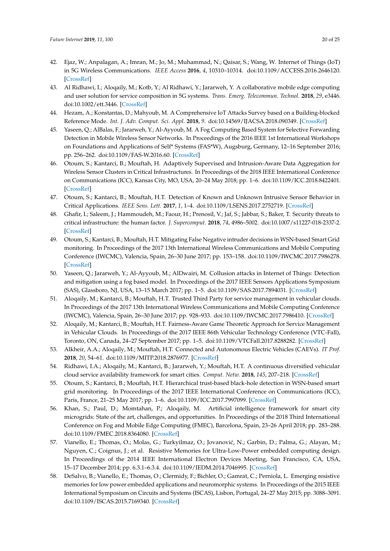- 42. Ejaz, W.; Anpalagan, A.; Imran, M.; Jo, M.; Muhammad, N.; Qaisar, S.; Wang, W. Internet of Things (IoT) in 5G Wireless Communications. *IEEE Access* **2016**, *4*, 10310–10314. doi[:10.1109/ACCESS.2016.2646120.](https://doi.org/10.1109/ACCESS.2016.2646120) [\[CrossRef\]](http://dx.doi.org/10.1109/ACCESS.2016.2646120)
- 43. Al Ridhawi, I.; Aloqaily, M.; Kotb, Y.; Al Ridhawi, Y.; Jararweh, Y. A collaborative mobile edge computing and user solution for service composition in 5G systems. *Trans. Emerg. Telecommun. Technol.* **2018**, *29*, e3446. doi[:10.1002/ett.3446.](https://doi.org/10.1002/ett.3446) [\[CrossRef\]](http://dx.doi.org/10.1002/ett.3446)
- 44. Hezam, A.; Konstantas, D.; Mahyoub, M. A Comprehensive IoT Attacks Survey based on a Building-blocked Reference Mode. *Int. J. Adv. Comput. Sci. Appl.* **2018**, *9*. doi[:10.14569/IJACSA.2018.090349.](https://doi.org/10.14569/IJACSA.2018.090349) [\[CrossRef\]](http://dx.doi.org/10.14569/IJACSA.2018.090349)
- 45. Yaseen, Q.; AlBalas, F.; Jararweh, Y.; Al-Ayyoub, M. A Fog Computing Based System for Selective Forwarding Detection in Mobile Wireless Sensor Networks. In Proceedings of the 2016 IEEE 1st International Workshops on Foundations and Applications of Self\* Systems (FAS\*W), Augsburg, Germany, 12–16 September 2016; pp. 256–262. doi[:10.1109/FAS-W.2016.60.](https://doi.org/10.1109/FAS-W.2016.60) [\[CrossRef\]](http://dx.doi.org/10.1109/FAS-W.2016.60)
- 46. Otoum, S.; Kantarci, B.; Mouftah, H. Adaptively Supervised and Intrusion-Aware Data Aggregation for Wireless Sensor Clusters in Critical Infrastructures. In Proceedings of the 2018 IEEE International Conference on Communications (ICC), Kansas City, MO, USA, 20–24 May 2018; pp. 1–6. doi[:10.1109/ICC.2018.8422401.](https://doi.org/10.1109/ICC.2018.8422401) [\[CrossRef\]](http://dx.doi.org/10.1109/ICC.2018.8422401)
- 47. Otoum, S.; Kantarci, B.; Mouftah, H.T. Detection of Known and Unknown Intrusive Sensor Behavior in Critical Applications. *IEEE Sens. Lett.* **2017**, *1*, 1–4. doi[:10.1109/LSENS.2017.2752719.](https://doi.org/10.1109/LSENS.2017.2752719) [\[CrossRef\]](http://dx.doi.org/10.1109/LSENS.2017.2752719)
- 48. Ghafir, I.; Saleem, J.; Hammoudeh, M.; Faour, H.; Prenosil, V.; Jaf, S.; Jabbar, S.; Baker, T. Security threats to critical infrastructure: the human factor. *J. Supercomput.* **2018**, *74*, 4986–5002. doi[:10.1007/s11227-018-2337-2.](https://doi.org/10.1007/s11227-018-2337-2) [\[CrossRef\]](http://dx.doi.org/10.1007/s11227-018-2337-2)
- 49. Otoum, S.; Kantarci, B.; Mouftah, H.T. Mitigating False Negative intruder decisions in WSN-based Smart Grid monitoring. In Proceedings of the 2017 13th International Wireless Communications and Mobile Computing Conference (IWCMC), Valencia, Spain, 26–30 June 2017; pp. 153–158. doi[:10.1109/IWCMC.2017.7986278.](https://doi.org/10.1109/IWCMC.2017.7986278) [\[CrossRef\]](http://dx.doi.org/10.1109/IWCMC.2017.7986278)
- 50. Yaseen, Q.; Jararweh, Y.; Al-Ayyoub, M.; AlDwairi, M. Collusion attacks in Internet of Things: Detection and mitigation using a fog based model. In Proceedings of the 2017 IEEE Sensors Applications Symposium (SAS), Glassboro, NJ, USA, 13–15 March 2017; pp. 1–5. doi[:10.1109/SAS.2017.7894031.](https://doi.org/10.1109/SAS.2017.7894031) [\[CrossRef\]](http://dx.doi.org/10.1109/SAS.2017.7894031)
- 51. Aloqaily, M.; Kantarci, B.; Mouftah, H.T. Trusted Third Party for service management in vehicular clouds. In Proceedings of the 2017 13th International Wireless Communications and Mobile Computing Conference (IWCMC), Valencia, Spain, 26–30 June 2017; pp. 928–933. doi[:10.1109/IWCMC.2017.7986410.](https://doi.org/10.1109/IWCMC.2017.7986410) [\[CrossRef\]](http://dx.doi.org/10.1109/IWCMC.2017.7986410)
- 52. Aloqaily, M.; Kantarci, B.; Mouftah, H.T. Fairness-Aware Game Theoretic Approach for Service Management in Vehicular Clouds. In Proceedings of the 2017 IEEE 86th Vehicular Technology Conference (VTC-Fall), Toronto, ON, Canada, 24–27 September 2017; pp. 1–5. doi[:10.1109/VTCFall.2017.8288282.](https://doi.org/10.1109/VTCFall.2017.8288282) [\[CrossRef\]](http://dx.doi.org/10.1109/VTCFall.2017.8288282)
- 53. Alkheir, A.A.; Aloqaily, M.; Mouftah, H.T. Connected and Autonomous Electric Vehicles (CAEVs). *IT Prof.* **2018**, *20*, 54–61. doi[:10.1109/MITP.2018.2876977.](https://doi.org/10.1109/MITP.2018.2876977) [\[CrossRef\]](http://dx.doi.org/10.1109/MITP.2018.2876977)
- 54. Ridhawi, I.A.; Aloqaily, M.; Kantarci, B.; Jararweh, Y.; Mouftah, H.T. A continuous diversified vehicular cloud service availability framework for smart cities. *Comput. Netw.* **2018**, *145*, 207–218. [\[CrossRef\]](http://dx.doi.org/10.1016/j.comnet.2018.08.023)
- 55. Otoum, S.; Kantarci, B.; Mouftah, H.T. Hierarchical trust-based black-hole detection in WSN-based smart grid monitoring. In Proceedings of the 2017 IEEE International Conference on Communications (ICC), Paris, France, 21–25 May 2017; pp. 1–6. doi[:10.1109/ICC.2017.7997099.](https://doi.org/10.1109/ICC.2017.7997099) [\[CrossRef\]](http://dx.doi.org/10.1109/ICC.2017.7997099)
- 56. Khan, S.; Paul, D.; Momtahan, P.; Aloqaily, M. Artificial intelligence framework for smart city microgrids: State of the art, challenges, and opportunities. In Proceedings of the 2018 Third International Conference on Fog and Mobile Edge Computing (FMEC), Barcelona, Spain, 23–26 April 2018; pp. 283–288. doi[:10.1109/FMEC.2018.8364080.](https://doi.org/10.1109/FMEC.2018.8364080) [\[CrossRef\]](http://dx.doi.org/10.1109/FMEC.2018.8364080)
- 57. Vianello, E.; Thomas, O.; Molas, G.; Turkyilmaz, O.; Jovanović, N.; Garbin, D.; Palma, G.; Alayan, M.; Nguyen, C.; Coignus, J.; et al. Resistive Memories for Ultra-Low-Power embedded computing design. In Proceedings of the 2014 IEEE International Electron Devices Meeting, San Francisco, CA, USA, 15–17 December 2014; pp. 6.3.1–6.3.4. doi[:10.1109/IEDM.2014.7046995.](https://doi.org/10.1109/IEDM.2014.7046995) [\[CrossRef\]](http://dx.doi.org/10.1109/IEDM.2014.7046995)
- 58. DeSalvo, B.; Vianello, E.; Thomas, O.; Clermidy, F.; Bichler, O.; Gamrat, C.; Perniola, L. Emerging resistive memories for low power embedded applications and neuromorphic systems. In Proceedings of the 2015 IEEE International Symposium on Circuits and Systems (ISCAS), Lisbon, Portugal, 24–27 May 2015; pp. 3088–3091. doi[:10.1109/ISCAS.2015.7169340.](https://doi.org/10.1109/ISCAS.2015.7169340) [\[CrossRef\]](http://dx.doi.org/10.1109/ISCAS.2015.7169340)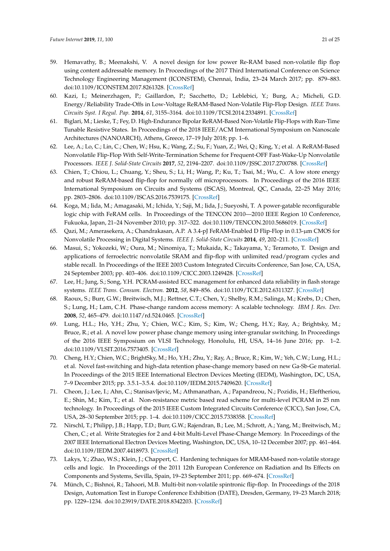- 59. Hemavathy, B.; Meenakshi, V. A novel design for low power Re-RAM based non-volatile flip flop using content addressable memory. In Proceedings of the 2017 Third International Conference on Science Technology Engineering Management (ICONSTEM), Chennai, India, 23–24 March 2017; pp. 879–883. doi[:10.1109/ICONSTEM.2017.8261328.](https://doi.org/10.1109/ICONSTEM.2017.8261328) [\[CrossRef\]](http://dx.doi.org/10.1109/ICONSTEM.2017.8261328)
- 60. Kazi, I.; Meinerzhagen, P.; Gaillardon, P.; Sacchetto, D.; Leblebici, Y.; Burg, A.; Micheli, G.D. Energy/Reliability Trade-Offs in Low-Voltage ReRAM-Based Non-Volatile Flip-Flop Design. *IEEE Trans. Circuits Syst. I Regul. Pap.* **2014**, *61*, 3155–3164. doi[:10.1109/TCSI.2014.2334891.](https://doi.org/10.1109/TCSI.2014.2334891) [\[CrossRef\]](http://dx.doi.org/10.1109/TCSI.2014.2334891)
- 61. Biglari, M.; Lieske, T.; Fey, D. High-Endurance Bipolar ReRAM-Based Non-Volatile Flip-Flops with Run-Time Tunable Resistive States. In Proceedings of the 2018 IEEE/ACM International Symposium on Nanoscale Architectures (NANOARCH), Athens, Greece, 17–19 July 2018; pp. 1–6.
- 62. Lee, A.; Lo, C.; Lin, C.; Chen, W.; Hsu, K.; Wang, Z.; Su, F.; Yuan, Z.; Wei, Q.; King, Y.; et al. A ReRAM-Based Nonvolatile Flip-Flop With Self-Write-Termination Scheme for Frequent-OFF Fast-Wake-Up Nonvolatile Processors. *IEEE J. Solid-State Circuits* **2017**, *52*, 2194–2207. doi[:10.1109/JSSC.2017.2700788.](https://doi.org/10.1109/JSSC.2017.2700788) [\[CrossRef\]](http://dx.doi.org/10.1109/JSSC.2017.2700788)
- 63. Chien, T.; Chiou, L.; Chuang, Y.; Sheu, S.; Li, H.; Wang, P.; Ku, T.; Tsai, M.; Wu, C. A low store energy and robust ReRAM-based flip-flop for normally off microprocessors. In Proceedings of the 2016 IEEE International Symposium on Circuits and Systems (ISCAS), Montreal, QC, Canada, 22–25 May 2016; pp. 2803–2806. doi[:10.1109/ISCAS.2016.7539175.](https://doi.org/10.1109/ISCAS.2016.7539175) [\[CrossRef\]](http://dx.doi.org/10.1109/ISCAS.2016.7539175)
- 64. Koga, M.; Iida, M.; Amagasaki, M.; Ichida, Y.; Saji, M.; Iida, J.; Sueyoshi, T. A power-gatable reconfigurable logic chip with FeRAM cells. In Proceedings of the TENCON 2010—2010 IEEE Region 10 Conference, Fukuoka, Japan, 21–24 November 2010; pp. 317–322. doi[:10.1109/TENCON.2010.5686019.](https://doi.org/10.1109/TENCON.2010.5686019) [\[CrossRef\]](http://dx.doi.org/10.1109/TENCON.2010.5686019)
- 65. Qazi, M.; Amerasekera, A.; Chandrakasan, A.P. A 3.4-pJ FeRAM-Enabled D Flip-Flop in 0.13-µm CMOS for Nonvolatile Processing in Digital Systems. *IEEE J. Solid-State Circuits* **2014**, *49*, 202–211. [\[CrossRef\]](http://dx.doi.org/10.1109/JSSC.2013.2282112)
- 66. Masui, S.; Yokozeki, W.; Oura, M.; Ninomiya, T.; Mukaida, K.; Takayama, Y.; Teramoto, T. Design and applications of ferroelectric nonvolatile SRAM and flip-flop with unlimited read/program cycles and stable recall. In Proceedings of the IEEE 2003 Custom Integrated Circuits Conference, San Jose, CA, USA, 24 September 2003; pp. 403–406. doi[:10.1109/CICC.2003.1249428.](https://doi.org/10.1109/CICC.2003.1249428) [\[CrossRef\]](http://dx.doi.org/10.1109/CICC.2003.1249428)
- 67. Lee, H.; Jung, S.; Song, Y.H. PCRAM-assisted ECC management for enhanced data reliability in flash storage systems. *IEEE Trans. Consum. Electron.* **2012**, *58*, 849–856. doi[:10.1109/TCE.2012.6311327.](https://doi.org/10.1109/TCE.2012.6311327) [\[CrossRef\]](http://dx.doi.org/10.1109/TCE.2012.6311327)
- 68. Raoux, S.; Burr, G.W.; Breitwisch, M.J.; Rettner, C.T.; Chen, Y.; Shelby, R.M.; Salinga, M.; Krebs, D.; Chen, S.; Lung, H.; Lam, C.H. Phase-change random access memory: A scalable technology. *IBM J. Res. Dev.* **2008**, *52*, 465–479. doi[:10.1147/rd.524.0465.](https://doi.org/10.1147/rd.524.0465) [\[CrossRef\]](http://dx.doi.org/10.1147/rd.524.0465)
- 69. Lung, H.L.; Ho, Y.H.; Zhu, Y.; Chien, W.C.; Kim, S.; Kim, W.; Cheng, H.Y.; Ray, A.; Brightsky, M.; Bruce, R.; et al. A novel low power phase change memory using inter-granular switching. In Proceedings of the 2016 IEEE Symposium on VLSI Technology, Honolulu, HI, USA, 14–16 June 2016; pp. 1–2. doi[:10.1109/VLSIT.2016.7573405.](https://doi.org/10.1109/VLSIT.2016.7573405) [\[CrossRef\]](http://dx.doi.org/10.1109/VLSIT.2016.7573405)
- 70. Cheng, H.Y.; Chien, W.C.; BrightSky, M.; Ho, Y.H.; Zhu, Y.; Ray, A.; Bruce, R.; Kim, W.; Yeh, C.W.; Lung, H.L.; et al. Novel fast-switching and high-data retention phase-change memory based on new Ga-Sb-Ge material. In Proceedings of the 2015 IEEE International Electron Devices Meeting (IEDM), Washington, DC, USA, 7–9 December 2015; pp. 3.5.1–3.5.4. doi[:10.1109/IEDM.2015.7409620.](https://doi.org/10.1109/IEDM.2015.7409620) [\[CrossRef\]](http://dx.doi.org/10.1109/IEDM.2015.7409620)
- 71. Cheon, J.; Lee, I.; Ahn, C.; Stanisavljevic, M.; Athmanathan, A.; Papandreou, N.; Pozidis, H.; Eleftheriou, E.; Shin, M.; Kim, T.; et al. Non-resistance metric based read scheme for multi-level PCRAM in 25 nm technology. In Proceedings of the 2015 IEEE Custom Integrated Circuits Conference (CICC), San Jose, CA, USA, 28–30 September 2015; pp. 1–4. doi[:10.1109/CICC.2015.7338358.](https://doi.org/10.1109/CICC.2015.7338358) [\[CrossRef\]](http://dx.doi.org/10.1109/CICC.2015.7338358)
- 72. Nirschl, T.; Philipp, J.B.; Happ, T.D.; Burr, G.W.; Rajendran, B.; Lee, M.; Schrott, A.; Yang, M.; Breitwisch, M.; Chen, C.; et al. Write Strategies for 2 and 4-bit Multi-Level Phase-Change Memory. In Proceedings of the 2007 IEEE International Electron Devices Meeting, Washington, DC, USA, 10–12 December 2007; pp. 461–464. doi[:10.1109/IEDM.2007.4418973.](https://doi.org/10.1109/IEDM.2007.4418973) [\[CrossRef\]](http://dx.doi.org/10.1109/IEDM.2007.4418973)
- 73. Lakys, Y.; Zhao, W.S.; Klein, J.; Chappert, C. Hardening techniques for MRAM-based non-volatile storage cells and logic. In Proceedings of the 2011 12th European Conference on Radiation and Its Effects on Components and Systems, Sevilla, Spain, 19–23 September 2011; pp. 669–674. [\[CrossRef\]](http://dx.doi.org/10.1109/RADECS.2011.6131445)
- 74. Münch, C.; Bishnoi, R.; Tahoori, M.B. Multi-bit non-volatile spintronic flip-flop. In Proceedings of the 2018 Design, Automation Test in Europe Conference Exhibition (DATE), Dresden, Germany, 19–23 March 2018; pp. 1229–1234. doi[:10.23919/DATE.2018.8342203.](https://doi.org/10.23919/DATE.2018.8342203) [\[CrossRef\]](http://dx.doi.org/10.23919/DATE.2018.8342203)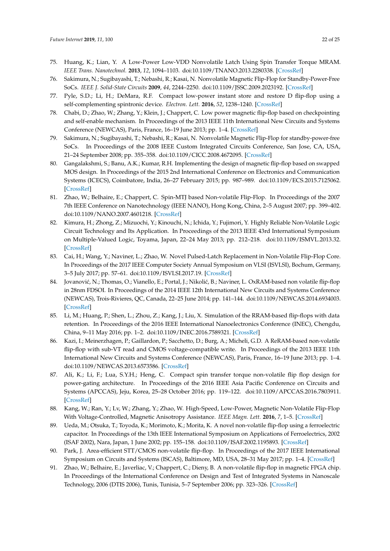- 75. Huang, K.; Lian, Y. A Low-Power Low-VDD Nonvolatile Latch Using Spin Transfer Torque MRAM. *IEEE Trans. Nanotechnol.* **2013**, *12*, 1094–1103. doi[:10.1109/TNANO.2013.2280338.](https://doi.org/10.1109/TNANO.2013.2280338) [\[CrossRef\]](http://dx.doi.org/10.1109/TNANO.2013.2280338)
- 76. Sakimura, N.; Sugibayashi, T.; Nebashi, R.; Kasai, N. Nonvolatile Magnetic Flip-Flop for Standby-Power-Free SoCs. *IEEE J. Solid-State Circuits* **2009**, *44*, 2244–2250. doi[:10.1109/JSSC.2009.2023192.](https://doi.org/10.1109/JSSC.2009.2023192) [\[CrossRef\]](http://dx.doi.org/10.1109/JSSC.2009.2023192)
- 77. Pyle, S.D.; Li, H.; DeMara, R.F. Compact low-power instant store and restore D flip-flop using a self-complementing spintronic device. *Electron. Lett.* **2016**, *52*, 1238–1240. [\[CrossRef\]](http://dx.doi.org/10.1049/el.2015.4114)
- 78. Chabi, D.; Zhao, W.; Zhang, Y.; Klein, J.; Chappert, C. Low power magnetic flip-flop based on checkpointing and self-enable mechanism. In Proceedings of the 2013 IEEE 11th International New Circuits and Systems Conference (NEWCAS), Paris, France, 16–19 June 2013; pp. 1–4. [\[CrossRef\]](http://dx.doi.org/10.1109/NEWCAS.2013.6573616)
- 79. Sakimura, N.; Sugibayashi, T.; Nebashi, R.; Kasai, N. Nonvolatile Magnetic Flip-Flop for standby-power-free SoCs. In Proceedings of the 2008 IEEE Custom Integrated Circuits Conference, San Jose, CA, USA, 21–24 September 2008; pp. 355–358. doi[:10.1109/CICC.2008.4672095.](https://doi.org/10.1109/CICC.2008.4672095) [\[CrossRef\]](http://dx.doi.org/10.1109/CICC.2008.4672095)
- 80. Gangalakshmi, S.; Banu, A.K.; Kumar, R.H. Implementing the design of magnetic flip-flop based on swapped MOS design. In Proceedings of the 2015 2nd International Conference on Electronics and Communication Systems (ICECS), Coimbatore, India, 26–27 February 2015; pp. 987–989. doi[:10.1109/ECS.2015.7125062.](https://doi.org/10.1109/ECS.2015.7125062) [\[CrossRef\]](http://dx.doi.org/10.1109/ECS.2015.7125062)
- 81. Zhao, W.; Belhaire, E.; Chappert, C. Spin-MTJ based Non-volatile Flip-Flop. In Proceedings of the 2007 7th IEEE Conference on Nanotechnology (IEEE NANO), Hong Kong, China, 2–5 August 2007; pp. 399–402. doi[:10.1109/NANO.2007.4601218.](https://doi.org/10.1109/NANO.2007.4601218) [\[CrossRef\]](http://dx.doi.org/10.1109/NANO.2007.4601218)
- 82. Kimura, H.; Zhong, Z.; Mizuochi, Y.; Kinouchi, N.; Ichida, Y.; Fujimori, Y. Highly Reliable Non-Volatile Logic Circuit Technology and Its Application. In Proceedings of the 2013 IEEE 43rd International Symposium on Multiple-Valued Logic, Toyama, Japan, 22–24 May 2013; pp. 212–218. doi[:10.1109/ISMVL.2013.32.](https://doi.org/10.1109/ISMVL.2013.32) [\[CrossRef\]](http://dx.doi.org/10.1109/ISMVL.2013.32)
- 83. Cai, H.; Wang, Y.; Naviner, L.; Zhao, W. Novel Pulsed-Latch Replacement in Non-Volatile Flip-Flop Core. In Proceedings of the 2017 IEEE Computer Society Annual Symposium on VLSI (ISVLSI), Bochum, Germany, 3–5 July 2017; pp. 57–61. doi[:10.1109/ISVLSI.2017.19.](https://doi.org/10.1109/ISVLSI.2017.19) [\[CrossRef\]](http://dx.doi.org/10.1109/ISVLSI.2017.19)
- 84. Jovanović, N.; Thomas, O.; Vianello, E.; Portal, J.; Nikolić, B.; Naviner, L. OxRAM-based non volatile flip-flop in 28nm FDSOI. In Proceedings of the 2014 IEEE 12th International New Circuits and Systems Conference (NEWCAS), Trois-Rivieres, QC, Canada, 22–25 June 2014; pp. 141–144. doi[:10.1109/NEWCAS.2014.6934003.](https://doi.org/10.1109/NEWCAS.2014.6934003) [\[CrossRef\]](http://dx.doi.org/10.1109/NEWCAS.2014.6934003)
- 85. Li, M.; Huang, P.; Shen, L.; Zhou, Z.; Kang, J.; Liu, X. Simulation of the RRAM-based flip-flops with data retention. In Proceedings of the 2016 IEEE International Nanoelectronics Conference (INEC), Chengdu, China, 9–11 May 2016; pp. 1–2. doi[:10.1109/INEC.2016.7589321.](https://doi.org/10.1109/INEC.2016.7589321) [\[CrossRef\]](http://dx.doi.org/10.1109/INEC.2016.7589321)
- 86. Kazi, I.; Meinerzhagen, P.; Gaillardon, P.; Sacchetto, D.; Burg, A.; Micheli, G.D. A ReRAM-based non-volatile flip-flop with sub-VT read and CMOS voltage-compatible write. In Proceedings of the 2013 IEEE 11th International New Circuits and Systems Conference (NEWCAS), Paris, France, 16–19 June 2013; pp. 1–4. doi[:10.1109/NEWCAS.2013.6573586.](https://doi.org/10.1109/NEWCAS.2013.6573586) [\[CrossRef\]](http://dx.doi.org/10.1109/NEWCAS.2013.6573586)
- 87. Ali, K.; Li, F.; Lua, S.Y.H.; Heng, C. Compact spin transfer torque non-volatile flip flop design for power-gating architecture. In Proceedings of the 2016 IEEE Asia Pacific Conference on Circuits and Systems (APCCAS), Jeju, Korea, 25–28 October 2016; pp. 119–122. doi[:10.1109/APCCAS.2016.7803911.](https://doi.org/10.1109/APCCAS.2016.7803911) [\[CrossRef\]](http://dx.doi.org/10.1109/APCCAS.2016.7803911)
- 88. Kang, W.; Ran, Y.; Lv, W.; Zhang, Y.; Zhao, W. High-Speed, Low-Power, Magnetic Non-Volatile Flip-Flop With Voltage-Controlled, Magnetic Anisotropy Assistance. *IEEE Magn. Lett.* **2016**, *7*, 1–5. [\[CrossRef\]](http://dx.doi.org/10.1109/LMAG.2016.2604205)
- 89. Ueda, M.; Otsuka, T.; Toyoda, K.; Morimoto, K.; Morita, K. A novel non-volatile flip-flop using a ferroelectric capacitor. In Proceedings of the 13th IEEE International Symposium on Applications of Ferroelectrics, 2002 (ISAF 2002), Nara, Japan, 1 June 2002; pp. 155–158. doi[:10.1109/ISAF.2002.1195893.](https://doi.org/10.1109/ISAF.2002.1195893) [\[CrossRef\]](http://dx.doi.org/10.1109/ISAF.2002.1195893)
- 90. Park, J. Area-efficient STT/CMOS non-volatile flip-flop. In Proceedings of the 2017 IEEE International Symposium on Circuits and Systems (ISCAS), Baltimore, MD, USA, 28–31 May 2017; pp. 1–4. [\[CrossRef\]](http://dx.doi.org/10.1109/ISCAS.2017.8050697)
- 91. Zhao, W.; Belhaire, E.; Javerliac, V.; Chappert, C.; Dieny, B. A non-volatile flip-flop in magnetic FPGA chip. In Proceedings of the International Conference on Design and Test of Integrated Systems in Nanoscale Technology, 2006 (DTIS 2006), Tunis, Tunisia, 5–7 September 2006; pp. 323–326. [\[CrossRef\]](http://dx.doi.org/10.1109/DTIS.2006.1708702)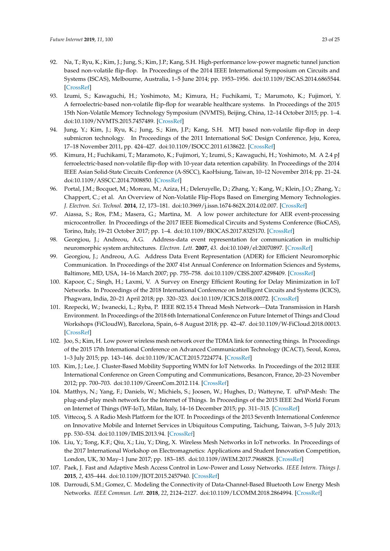- 92. Na, T.; Ryu, K.; Kim, J.; Jung, S.; Kim, J.P.; Kang, S.H. High-performance low-power magnetic tunnel junction based non-volatile flip-flop. In Proceedings of the 2014 IEEE International Symposium on Circuits and Systems (ISCAS), Melbourne, Australia, 1–5 June 2014; pp. 1953–1956. doi[:10.1109/ISCAS.2014.6865544.](https://doi.org/10.1109/ISCAS.2014.6865544) [\[CrossRef\]](http://dx.doi.org/10.1109/ISCAS.2014.6865544)
- 93. Izumi, S.; Kawaguchi, H.; Yoshimoto, M.; Kimura, H.; Fuchikami, T.; Marumoto, K.; Fujimori, Y. A ferroelectric-based non-volatile flip-flop for wearable healthcare systems. In Proceedings of the 2015 15th Non-Volatile Memory Technology Symposium (NVMTS), Beijing, China, 12–14 October 2015; pp. 1–4. doi[:10.1109/NVMTS.2015.7457489.](https://doi.org/10.1109/NVMTS.2015.7457489) [\[CrossRef\]](http://dx.doi.org/10.1109/NVMTS.2015.7457489)
- 94. Jung, Y.; Kim, J.; Ryu, K.; Jung, S.; Kim, J.P.; Kang, S.H. MTJ based non-volatile flip-flop in deep submicron technology. In Proceedings of the 2011 International SoC Design Conference, Jeju, Korea, 17–18 November 2011, pp. 424–427. doi[:10.1109/ISOCC.2011.6138622.](https://doi.org/10.1109/ISOCC.2011.6138622) [\[CrossRef\]](http://dx.doi.org/10.1109/ISOCC.2011.6138622)
- 95. Kimura, H.; Fuchikami, T.; Maramoto, K.; Fujimori, Y.; Izumi, S.; Kawaguchi, H.; Yoshimoto, M. A 2.4 pJ ferroelectric-based non-volatile flip-flop with 10-year data retention capability. In Proceedings of the 2014 IEEE Asian Solid-State Circuits Conference (A-SSCC), KaoHsiung, Taiwan, 10–12 November 2014; pp. 21–24. doi[:10.1109/ASSCC.2014.7008850.](https://doi.org/10.1109/ASSCC.2014.7008850) [\[CrossRef\]](http://dx.doi.org/10.1109/ASSCC.2014.7008850)
- 96. Portal, J.M.; Bocquet, M.; Moreau, M.; Aziza, H.; Deleruyelle, D.; Zhang, Y.; Kang, W.; Klein, J.O.; Zhang, Y.; Chappert, C.; et al. An Overview of Non-Volatile Flip-Flops Based on Emerging Memory Technologies. *J. Electron. Sci. Technol.* **2014**, *12*, 173–181. doi[:10.3969/j.issn.1674-862X.2014.02.007.](https://doi.org/10.3969/j.issn.1674-862X.2014.02.007) [\[CrossRef\]](http://dx.doi.org/10.3969/j.issn.1674-862X.2014.02.007)
- 97. Aiassa, S.; Ros, P.M.; Masera, G.; Martina, M. A low power architecture for AER event-processing microcontroller. In Proceedings of the 2017 IEEE Biomedical Circuits and Systems Conference (BioCAS), Torino, Italy, 19–21 October 2017; pp. 1–4. doi[:10.1109/BIOCAS.2017.8325170.](https://doi.org/10.1109/BIOCAS.2017.8325170) [\[CrossRef\]](http://dx.doi.org/10.1109/BIOCAS.2017.8325170)
- 98. Georgiou, J.; Andreou, A.G. Address-data event representation for communication in multichip neuromorphic system architectures. *Electron. Lett.* **2007**, *43*. doi[:10.1049/el:20070897.](https://doi.org/10.1049/el:20070897) [\[CrossRef\]](http://dx.doi.org/10.1049/el:20070897)
- 99. Georgiou, J.; Andreou, A.G. Address Data Event Representation (ADER) for Efficient Neuromorphic Communication. In Proceedings of the 2007 41st Annual Conference on Information Sciences and Systems, Baltimore, MD, USA, 14–16 March 2007; pp. 755–758. doi[:10.1109/CISS.2007.4298409.](https://doi.org/10.1109/CISS.2007.4298409) [\[CrossRef\]](http://dx.doi.org/10.1109/CISS.2007.4298409)
- 100. Kapoor, C.; Singh, H.; Laxmi, V. A Survey on Energy Efficient Routing for Delay Minimization in IoT Networks. In Proceedings of the 2018 International Conference on Intelligent Circuits and Systems (ICICS), Phagwara, India, 20–21 April 2018; pp. 320–323. doi[:10.1109/ICICS.2018.00072.](https://doi.org/10.1109/ICICS.2018.00072) [\[CrossRef\]](http://dx.doi.org/10.1109/ICICS.2018.00072)
- 101. Rzepecki, W.; Iwanecki, L.; Ryba, P. IEEE 802.15.4 Thread Mesh Network—Data Transmission in Harsh Environment. In Proceedings of the 2018 6th International Conference on Future Internet of Things and Cloud Workshops (FiCloudW), Barcelona, Spain, 6–8 August 2018; pp. 42–47. doi[:10.1109/W-FiCloud.2018.00013.](https://doi.org/10.1109/W-FiCloud.2018.00013) [\[CrossRef\]](http://dx.doi.org/10.1109/W-FiCloud.2018.00013)
- 102. Joo, S.; Kim, H. Low power wireless mesh network over the TDMA link for connecting things. In Proceedings of the 2015 17th International Conference on Advanced Communication Technology (ICACT), Seoul, Korea, 1–3 July 2015; pp. 143–146. doi[:10.1109/ICACT.2015.7224774.](https://doi.org/10.1109/ICACT.2015.7224774) [\[CrossRef\]](http://dx.doi.org/10.1109/ICACT.2015.7224774)
- 103. Kim, J.; Lee, J. Cluster-Based Mobility Supporting WMN for IoT Networks. In Proceedings of the 2012 IEEE International Conference on Green Computing and Communications, Besancon, France, 20–23 November 2012; pp. 700–703. doi[:10.1109/GreenCom.2012.114.](https://doi.org/10.1109/GreenCom.2012.114) [\[CrossRef\]](http://dx.doi.org/10.1109/GreenCom.2012.114)
- 104. Matthys, N.; Yang, F.; Daniels, W.; Michiels, S.; Joosen, W.; Hughes, D.; Watteyne, T. uPnP-Mesh: The plug-and-play mesh network for the Internet of Things. In Proceedings of the 2015 IEEE 2nd World Forum on Internet of Things (WF-IoT), Milan, Italy, 14–16 December 2015; pp. 311–315. [\[CrossRef\]](http://dx.doi.org/10.1109/WF-IoT.2015.7389072)
- 105. Vittecoq, S. A Radio Mesh Platform for the IOT. In Proceedings of the 2013 Seventh International Conference on Innovative Mobile and Internet Services in Ubiquitous Computing, Taichung, Taiwan, 3–5 July 2013; pp. 530–534. doi[:10.1109/IMIS.2013.94.](https://doi.org/10.1109/IMIS.2013.94) [\[CrossRef\]](http://dx.doi.org/10.1109/IMIS.2013.94)
- 106. Liu, Y.; Tong, K.F.; Qiu, X.; Liu, Y.; Ding, X. Wireless Mesh Networks in IoT networks. In Proceedings of the 2017 International Workshop on Electromagnetics: Applications and Student Innovation Competition, London, UK, 30 May–1 June 2017; pp. 183–185. doi[:10.1109/iWEM.2017.7968828.](https://doi.org/10.1109/iWEM.2017.7968828) [\[CrossRef\]](http://dx.doi.org/10.1109/iWEM.2017.7968828)
- 107. Paek, J. Fast and Adaptive Mesh Access Control in Low-Power and Lossy Networks. *IEEE Intern. Things J.* **2015**, *2*, 435–444. doi[:10.1109/JIOT.2015.2457940.](https://doi.org/10.1109/JIOT.2015.2457940) [\[CrossRef\]](http://dx.doi.org/10.1109/JIOT.2015.2457940)
- 108. Darroudi, S.M.; Gomez, C. Modeling the Connectivity of Data-Channel-Based Bluetooth Low Energy Mesh Networks. *IEEE Commun. Lett.* **2018**, *22*, 2124–2127. doi[:10.1109/LCOMM.2018.2864994.](https://doi.org/10.1109/LCOMM.2018.2864994) [\[CrossRef\]](http://dx.doi.org/10.1109/LCOMM.2018.2864994)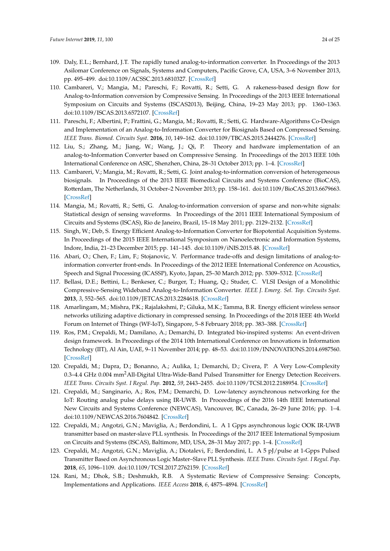- 109. Daly, E.L.; Bernhard, J.T. The rapidly tuned analog-to-information converter. In Proceedings of the 2013 Asilomar Conference on Signals, Systems and Computers, Pacific Grove, CA, USA, 3–6 November 2013, pp. 495–499. doi[:10.1109/ACSSC.2013.6810327.](https://doi.org/10.1109/ACSSC.2013.6810327) [\[CrossRef\]](http://dx.doi.org/10.1109/ACSSC.2013.6810327)
- 110. Cambareri, V.; Mangia, M.; Pareschi, F.; Rovatti, R.; Setti, G. A rakeness-based design flow for Analog-to-Information conversion by Compressive Sensing. In Proceedings of the 2013 IEEE International Symposium on Circuits and Systems (ISCAS2013), Beijing, China, 19–23 May 2013; pp. 1360–1363. doi[:10.1109/ISCAS.2013.6572107.](https://doi.org/10.1109/ISCAS.2013.6572107) [\[CrossRef\]](http://dx.doi.org/10.1109/ISCAS.2013.6572107)
- 111. Pareschi, F.; Albertini, P.; Frattini, G.; Mangia, M.; Rovatti, R.; Setti, G. Hardware-Algorithms Co-Design and Implementation of an Analog-to-Information Converter for Biosignals Based on Compressed Sensing. *IEEE Trans. Biomed. Circuits Syst.* **2016**, *10*, 149–162. doi[:10.1109/TBCAS.2015.2444276.](https://doi.org/10.1109/TBCAS.2015.2444276) [\[CrossRef\]](http://dx.doi.org/10.1109/TBCAS.2015.2444276)
- 112. Liu, S.; Zhang, M.; Jiang, W.; Wang, J.; Qi, P. Theory and hardware implementation of an analog-to-Information Converter based on Compressive Sensing. In Proceedings of the 2013 IEEE 10th International Conference on ASIC, Shenzhen, China, 28–31 October 2013; pp. 1–4. [\[CrossRef\]](http://dx.doi.org/10.1109/ASICON.2013.6812033)
- 113. Cambareri, V.; Mangia, M.; Rovatti, R.; Setti, G. Joint analog-to-information conversion of heterogeneous biosignals. In Proceedings of the 2013 IEEE Biomedical Circuits and Systems Conference (BioCAS), Rotterdam, The Netherlands, 31 October–2 November 2013; pp. 158–161. doi[:10.1109/BioCAS.2013.6679663.](https://doi.org/10.1109/BioCAS.2013.6679663) [\[CrossRef\]](http://dx.doi.org/10.1109/BioCAS.2013.6679663)
- 114. Mangia, M.; Rovatti, R.; Setti, G. Analog-to-information conversion of sparse and non-white signals: Statistical design of sensing waveforms. In Proceedings of the 2011 IEEE International Symposium of Circuits and Systems (ISCAS), Rio de Janeiro, Brazil, 15–18 May 2011; pp. 2129–2132. [\[CrossRef\]](http://dx.doi.org/10.1109/ISCAS.2011.5938019)
- 115. Singh, W.; Deb, S. Energy Efficient Analog-to-Information Converter for Biopotential Acquisition Systems. In Proceedings of the 2015 IEEE International Symposium on Nanoelectronic and Information Systems, Indore, India, 21–23 December 2015; pp. 141–145. doi[:10.1109/iNIS.2015.48.](https://doi.org/10.1109/iNIS.2015.48) [\[CrossRef\]](http://dx.doi.org/10.1109/iNIS.2015.48)
- 116. Abari, O.; Chen, F.; Lim, F.; Stojanovic, V. Performance trade-offs and design limitations of analog-toinformation converter front-ends. In Proceedings of the 2012 IEEE International Conference on Acoustics, Speech and Signal Processing (ICASSP), Kyoto, Japan, 25–30 March 2012; pp. 5309–5312. [\[CrossRef\]](http://dx.doi.org/10.1109/ICASSP.2012.6289119)
- 117. Bellasi, D.E.; Bettini, L.; Benkeser, C.; Burger, T.; Huang, Q.; Studer, C. VLSI Design of a Monolithic Compressive-Sensing Wideband Analog-to-Information Converter. *IEEE J. Emerg. Sel. Top. Circuits Syst.* **2013**, *3*, 552–565. doi[:10.1109/JETCAS.2013.2284618.](https://doi.org/10.1109/JETCAS.2013.2284618) [\[CrossRef\]](http://dx.doi.org/10.1109/JETCAS.2013.2284618)
- 118. Amarlingam, M.; Mishra, P.K.; Rajalakshmi, P.; Giluka, M.K.; Tamma, B.R. Energy efficient wireless sensor networks utilizing adaptive dictionary in compressed sensing. In Proceedings of the 2018 IEEE 4th World Forum on Internet of Things (WF-IoT), Singapore, 5–8 February 2018; pp. 383–388. [\[CrossRef\]](http://dx.doi.org/10.1109/WF-IoT.2018.8355140)
- 119. Ros, P.M.; Crepaldi, M.; Damilano, A.; Demarchi, D. Integrated bio-inspired systems: An event-driven design framework. In Proceedings of the 2014 10th International Conference on Innovations in Information Technology (IIT), Al Ain, UAE, 9–11 November 2014; pp. 48–53. doi[:10.1109/INNOVATIONS.2014.6987560.](https://doi.org/10.1109/INNOVATIONS.2014.6987560) [\[CrossRef\]](http://dx.doi.org/10.1109/INNOVATIONS.2014.6987560)
- 120. Crepaldi, M.; Dapra, D.; Bonanno, A.; Aulika, I.; Demarchi, D.; Civera, P. A Very Low-Complexity 0.3–4.4 GHz 0.004 mm<sup>2</sup>All-Digital Ultra-Wide-Band Pulsed Transmitter for Energy Detection Receivers. *IEEE Trans. Circuits Syst. I Regul. Pap.* **2012**, *59*, 2443–2455. doi[:10.1109/TCSI.2012.2188954.](https://doi.org/10.1109/TCSI.2012.2188954) [\[CrossRef\]](http://dx.doi.org/10.1109/TCSI.2012.2188954)
- 121. Crepaldi, M.; Sanginario, A.; Ros, P.M.; Demarchi, D. Low-latency asynchronous networking for the IoT: Routing analog pulse delays using IR-UWB. In Proceedings of the 2016 14th IEEE International New Circuits and Systems Conference (NEWCAS), Vancouver, BC, Canada, 26–29 June 2016; pp. 1–4. doi[:10.1109/NEWCAS.2016.7604842.](https://doi.org/10.1109/NEWCAS.2016.7604842) [\[CrossRef\]](http://dx.doi.org/10.1109/NEWCAS.2016.7604842)
- 122. Crepaldi, M.; Angotzi, G.N.; Maviglia, A.; Berdondini, L. A 1 Gpps asynchronous logic OOK IR-UWB transmitter based on master-slave PLL synthesis. In Proceedings of the 2017 IEEE International Symposium on Circuits and Systems (ISCAS), Baltimore, MD, USA, 28–31 May 2017; pp. 1–4. [\[CrossRef\]](http://dx.doi.org/10.1109/ISCAS.2017.8050693)
- 123. Crepaldi, M.; Angotzi, G.N.; Maviglia, A.; Diotalevi, F.; Berdondini, L. A 5 pJ/pulse at 1-Gpps Pulsed Transmitter Based on Asynchronous Logic Master–Slave PLL Synthesis. *IEEE Trans. Circuits Syst. I Regul. Pap.* **2018**, *65*, 1096–1109. doi[:10.1109/TCSI.2017.2762159.](https://doi.org/10.1109/TCSI.2017.2762159) [\[CrossRef\]](http://dx.doi.org/10.1109/TCSI.2017.2762159)
- 124. Rani, M.; Dhok, S.B.; Deshmukh, R.B. A Systematic Review of Compressive Sensing: Concepts, Implementations and Applications. *IEEE Access* **2018**, *6*, 4875–4894. [\[CrossRef\]](http://dx.doi.org/10.1109/ACCESS.2018.2793851)